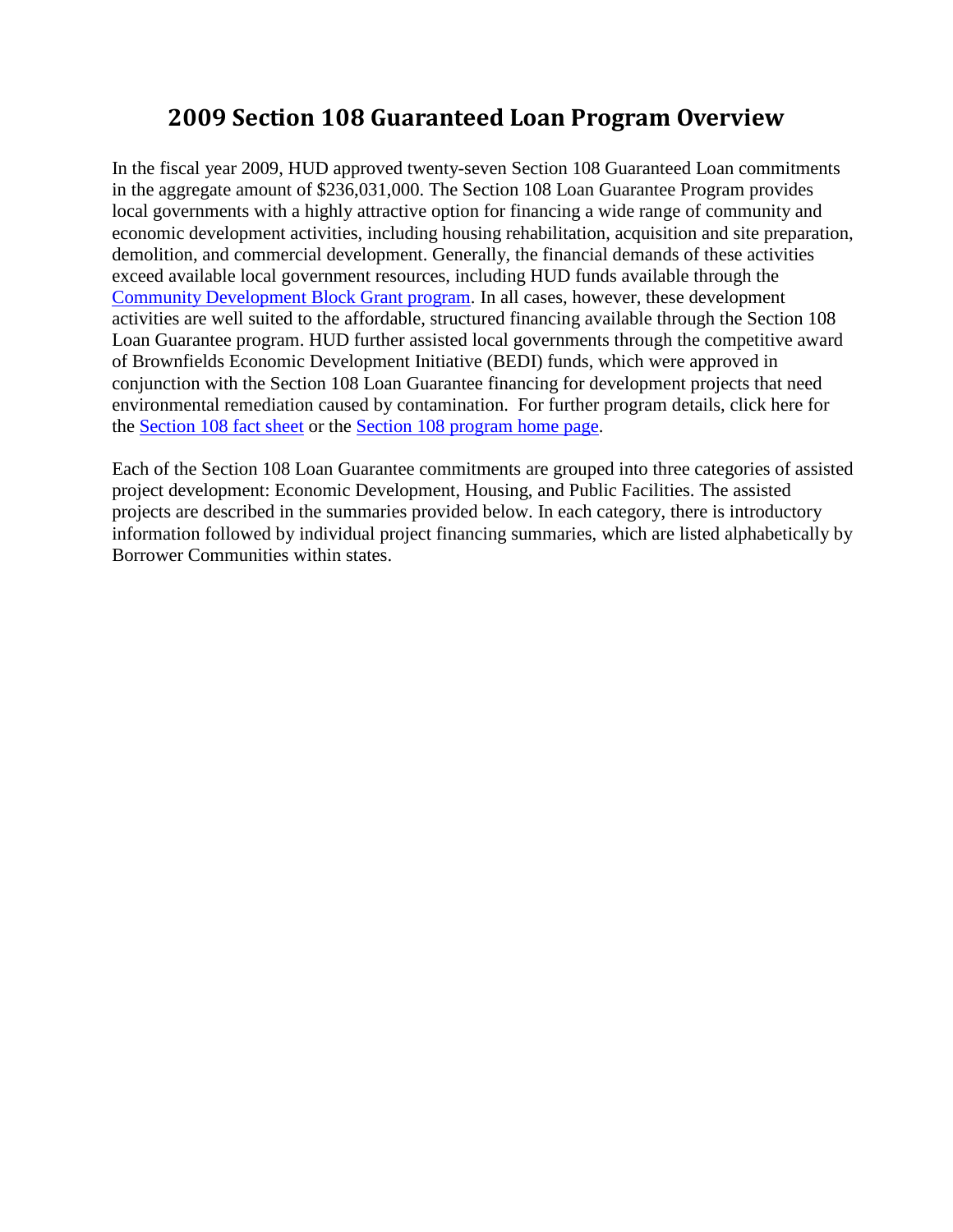# **2009 Section 108 Guaranteed Loan Program Overview**

In the fiscal year 2009, HUD approved twenty-seven Section 108 Guaranteed Loan commitments in the aggregate amount of \$236,031,000. The Section 108 Loan Guarantee Program provides local governments with a highly attractive option for financing a wide range of community and economic development activities, including housing rehabilitation, acquisition and site preparation, demolition, and commercial development. Generally, the financial demands of these activities exceed available local government resources, including HUD funds available through the [Community Development Block Grant program](http://www.hud.gov/offices/cpd/communitydevelopment/programs/). In all cases, however, these development activities are well suited to the affordable, structured financing available through the Section 108 Loan Guarantee program. HUD further assisted local governments through the competitive award of Brownfields Economic Development Initiative (BEDI) funds, which were approved in conjunction with the Section 108 Loan Guarantee financing for development projects that need environmental remediation caused by contamination. For further program details, click here for the [Section 108 fact sheet](http://www.hud.gov/offices/cpd/communitydevelopment/programs/108/factsheet.cfm) or the [Section 108 program home page.](http://www.hud.gov/offices/cpd/communitydevelopment/programs/108/)

Each of the Section 108 Loan Guarantee commitments are grouped into three categories of assisted project development: Economic Development, Housing, and Public Facilities. The assisted projects are described in the summaries provided below. In each category, there is introductory information followed by individual project financing summaries, which are listed alphabetically by Borrower Communities within states.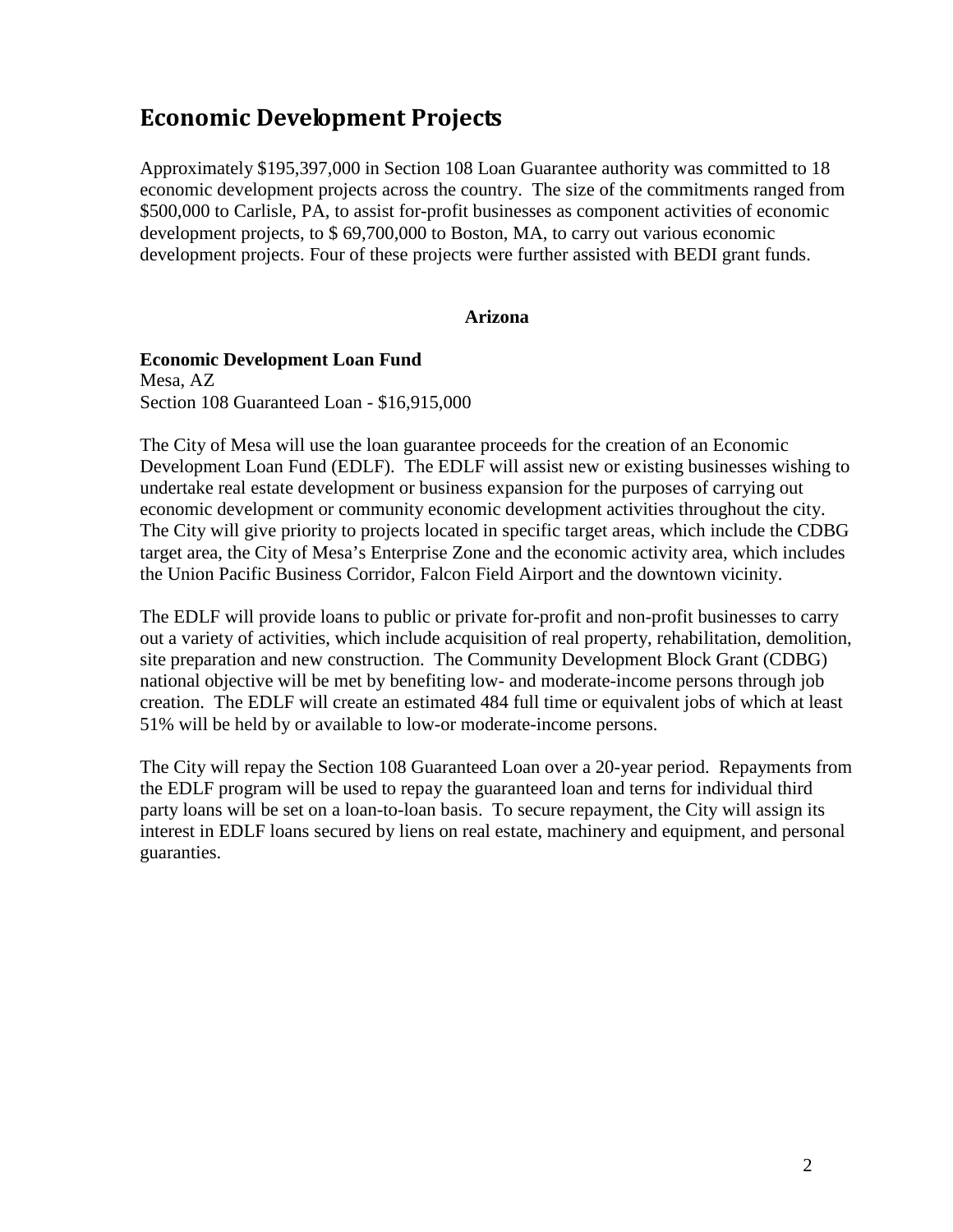# **Economic Development Projects**

Approximately \$195,397,000 in Section 108 Loan Guarantee authority was committed to 18 economic development projects across the country. The size of the commitments ranged from \$500,000 to Carlisle, PA, to assist for-profit businesses as component activities of economic development projects, to \$ 69,700,000 to Boston, MA, to carry out various economic development projects. Four of these projects were further assisted with BEDI grant funds.

## **Arizona**

### **Economic Development Loan Fund**

Mesa, AZ Section 108 Guaranteed Loan - \$16,915,000

The City of Mesa will use the loan guarantee proceeds for the creation of an Economic Development Loan Fund (EDLF). The EDLF will assist new or existing businesses wishing to undertake real estate development or business expansion for the purposes of carrying out economic development or community economic development activities throughout the city. The City will give priority to projects located in specific target areas, which include the CDBG target area, the City of Mesa's Enterprise Zone and the economic activity area, which includes the Union Pacific Business Corridor, Falcon Field Airport and the downtown vicinity.

The EDLF will provide loans to public or private for-profit and non-profit businesses to carry out a variety of activities, which include acquisition of real property, rehabilitation, demolition, site preparation and new construction. The Community Development Block Grant (CDBG) national objective will be met by benefiting low- and moderate-income persons through job creation. The EDLF will create an estimated 484 full time or equivalent jobs of which at least 51% will be held by or available to low-or moderate-income persons.

The City will repay the Section 108 Guaranteed Loan over a 20-year period. Repayments from the EDLF program will be used to repay the guaranteed loan and terns for individual third party loans will be set on a loan-to-loan basis. To secure repayment, the City will assign its interest in EDLF loans secured by liens on real estate, machinery and equipment, and personal guaranties.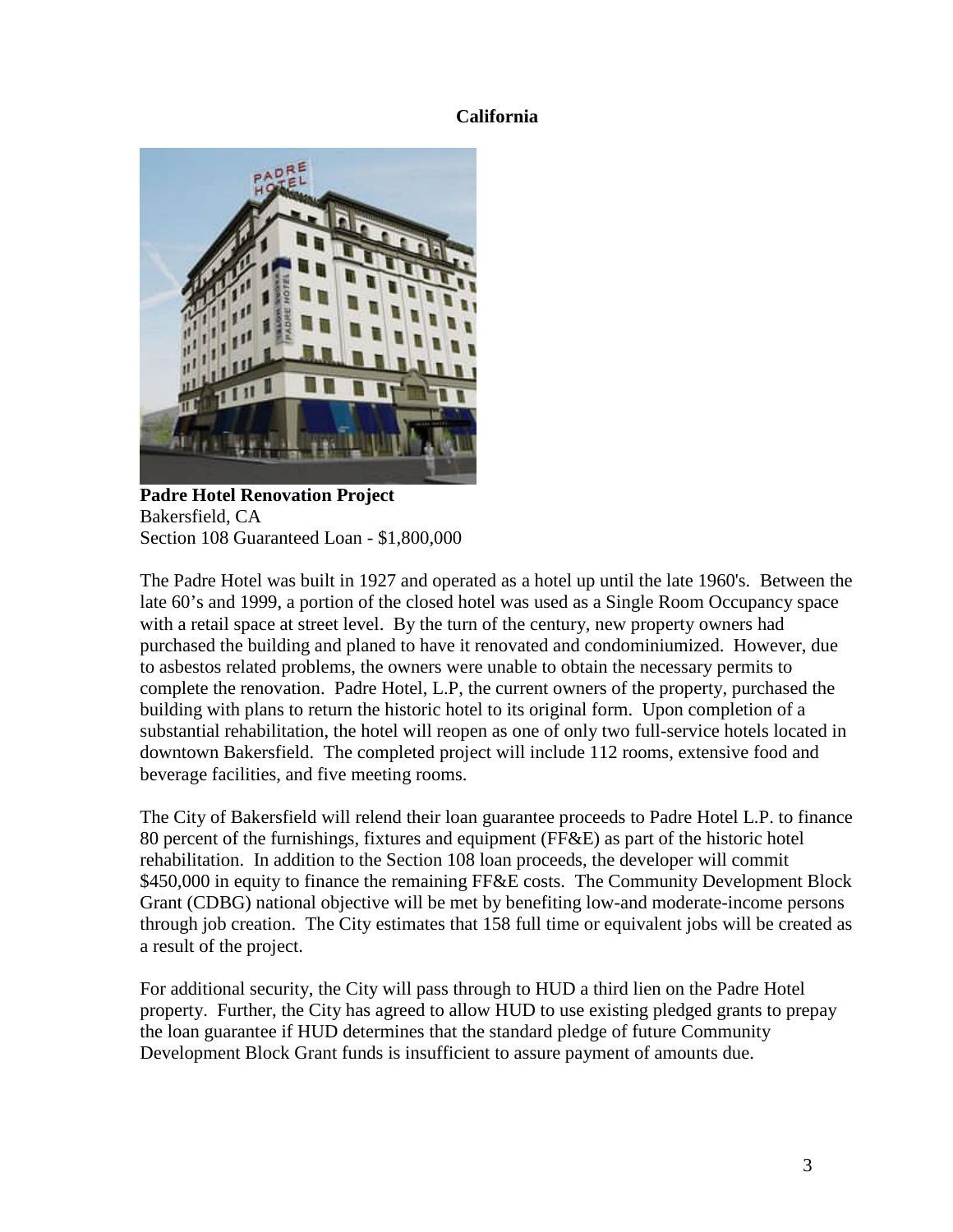## **California**



**Padre Hotel Renovation Project** Bakersfield, CA Section 108 Guaranteed Loan - \$1,800,000

The Padre Hotel was built in 1927 and operated as a hotel up until the late 1960's. Between the late 60's and 1999, a portion of the closed hotel was used as a Single Room Occupancy space with a retail space at street level. By the turn of the century, new property owners had purchased the building and planed to have it renovated and condominiumized. However, due to asbestos related problems, the owners were unable to obtain the necessary permits to complete the renovation. Padre Hotel, L.P, the current owners of the property, purchased the building with plans to return the historic hotel to its original form. Upon completion of a substantial rehabilitation, the hotel will reopen as one of only two full-service hotels located in downtown Bakersfield. The completed project will include 112 rooms, extensive food and beverage facilities, and five meeting rooms.

The City of Bakersfield will relend their loan guarantee proceeds to Padre Hotel L.P. to finance 80 percent of the furnishings, fixtures and equipment (FF&E) as part of the historic hotel rehabilitation. In addition to the Section 108 loan proceeds, the developer will commit \$450,000 in equity to finance the remaining FF&E costs. The Community Development Block Grant (CDBG) national objective will be met by benefiting low-and moderate-income persons through job creation. The City estimates that 158 full time or equivalent jobs will be created as a result of the project.

For additional security, the City will pass through to HUD a third lien on the Padre Hotel property. Further, the City has agreed to allow HUD to use existing pledged grants to prepay the loan guarantee if HUD determines that the standard pledge of future Community Development Block Grant funds is insufficient to assure payment of amounts due.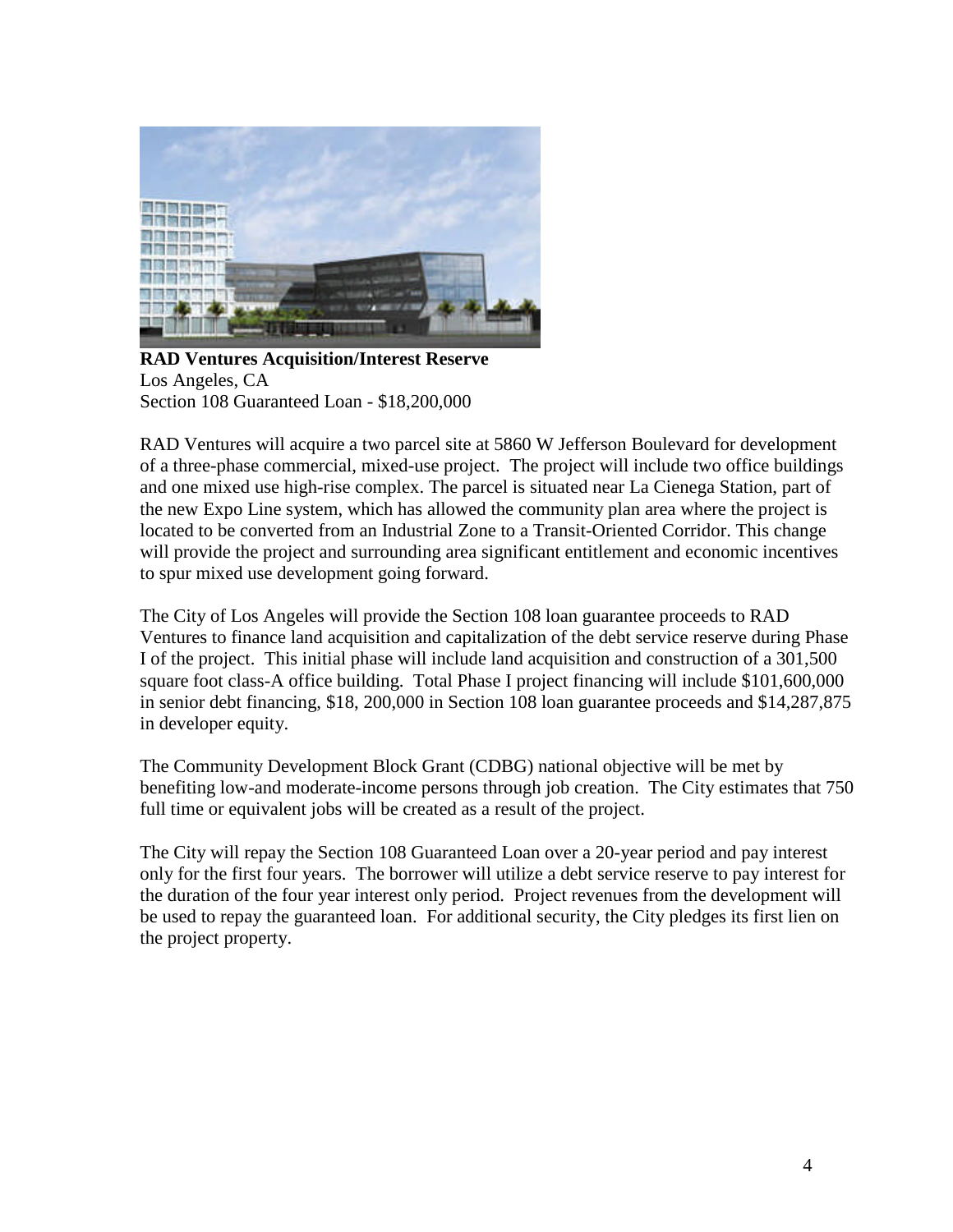

**RAD Ventures Acquisition/Interest Reserve** Los Angeles, CA Section 108 Guaranteed Loan - \$18,200,000

RAD Ventures will acquire a two parcel site at 5860 W Jefferson Boulevard for development of a three-phase commercial, mixed-use project. The project will include two office buildings and one mixed use high-rise complex. The parcel is situated near La Cienega Station, part of the new Expo Line system, which has allowed the community plan area where the project is located to be converted from an Industrial Zone to a Transit-Oriented Corridor. This change will provide the project and surrounding area significant entitlement and economic incentives to spur mixed use development going forward.

The City of Los Angeles will provide the Section 108 loan guarantee proceeds to RAD Ventures to finance land acquisition and capitalization of the debt service reserve during Phase I of the project. This initial phase will include land acquisition and construction of a 301,500 square foot class-A office building. Total Phase I project financing will include \$101,600,000 in senior debt financing, \$18, 200,000 in Section 108 loan guarantee proceeds and \$14,287,875 in developer equity.

The Community Development Block Grant (CDBG) national objective will be met by benefiting low-and moderate-income persons through job creation. The City estimates that 750 full time or equivalent jobs will be created as a result of the project.

The City will repay the Section 108 Guaranteed Loan over a 20-year period and pay interest only for the first four years. The borrower will utilize a debt service reserve to pay interest for the duration of the four year interest only period. Project revenues from the development will be used to repay the guaranteed loan. For additional security, the City pledges its first lien on the project property.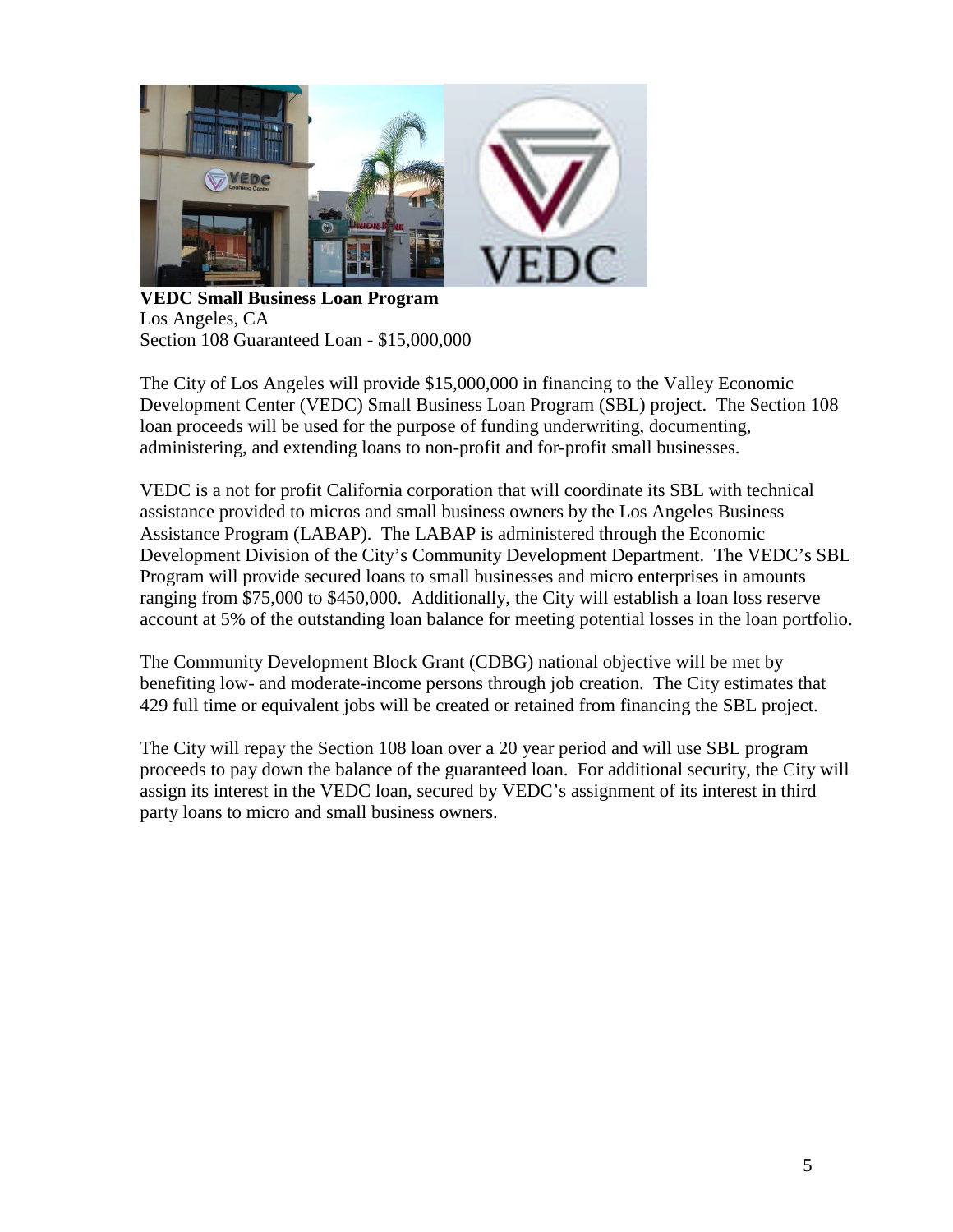

**VEDC Small Business Loan Program** Los Angeles, CA Section 108 Guaranteed Loan - \$15,000,000

The City of Los Angeles will provide \$15,000,000 in financing to the Valley Economic Development Center (VEDC) Small Business Loan Program (SBL) project. The Section 108 loan proceeds will be used for the purpose of funding underwriting, documenting, administering, and extending loans to non-profit and for-profit small businesses.

VEDC is a not for profit California corporation that will coordinate its SBL with technical assistance provided to micros and small business owners by the Los Angeles Business Assistance Program (LABAP). The LABAP is administered through the Economic Development Division of the City's Community Development Department. The VEDC's SBL Program will provide secured loans to small businesses and micro enterprises in amounts ranging from \$75,000 to \$450,000. Additionally, the City will establish a loan loss reserve account at 5% of the outstanding loan balance for meeting potential losses in the loan portfolio.

The Community Development Block Grant (CDBG) national objective will be met by benefiting low- and moderate-income persons through job creation. The City estimates that 429 full time or equivalent jobs will be created or retained from financing the SBL project.

The City will repay the Section 108 loan over a 20 year period and will use SBL program proceeds to pay down the balance of the guaranteed loan. For additional security, the City will assign its interest in the VEDC loan, secured by VEDC's assignment of its interest in third party loans to micro and small business owners.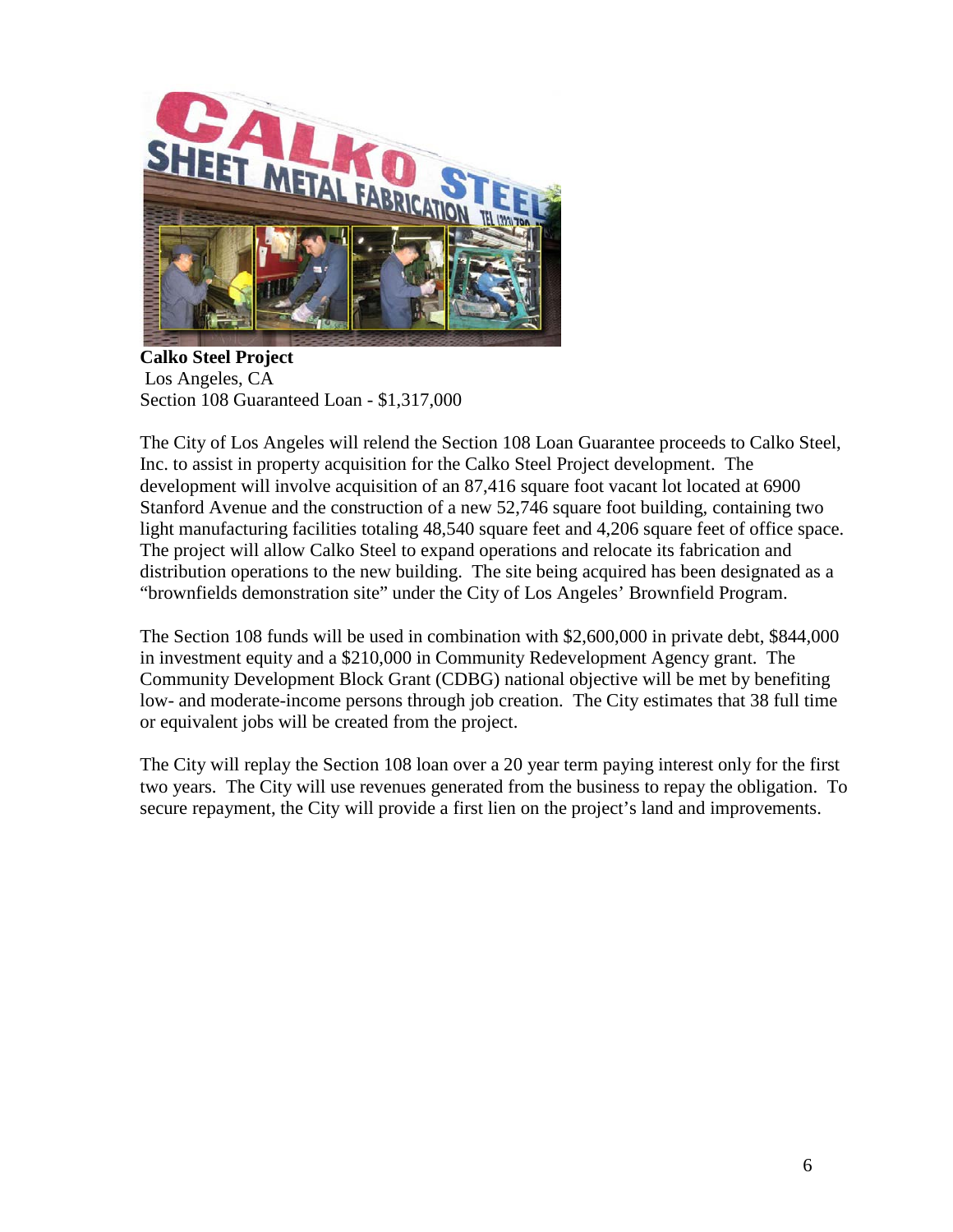

**Calko Steel Project** Los Angeles, CA Section 108 Guaranteed Loan - \$1,317,000

The City of Los Angeles will relend the Section 108 Loan Guarantee proceeds to Calko Steel, Inc. to assist in property acquisition for the Calko Steel Project development. The development will involve acquisition of an 87,416 square foot vacant lot located at 6900 Stanford Avenue and the construction of a new 52,746 square foot building, containing two light manufacturing facilities totaling 48,540 square feet and 4,206 square feet of office space. The project will allow Calko Steel to expand operations and relocate its fabrication and distribution operations to the new building. The site being acquired has been designated as a "brownfields demonstration site" under the City of Los Angeles' Brownfield Program.

The Section 108 funds will be used in combination with \$2,600,000 in private debt, \$844,000 in investment equity and a \$210,000 in Community Redevelopment Agency grant. The Community Development Block Grant (CDBG) national objective will be met by benefiting low- and moderate-income persons through job creation. The City estimates that 38 full time or equivalent jobs will be created from the project.

The City will replay the Section 108 loan over a 20 year term paying interest only for the first two years. The City will use revenues generated from the business to repay the obligation. To secure repayment, the City will provide a first lien on the project's land and improvements.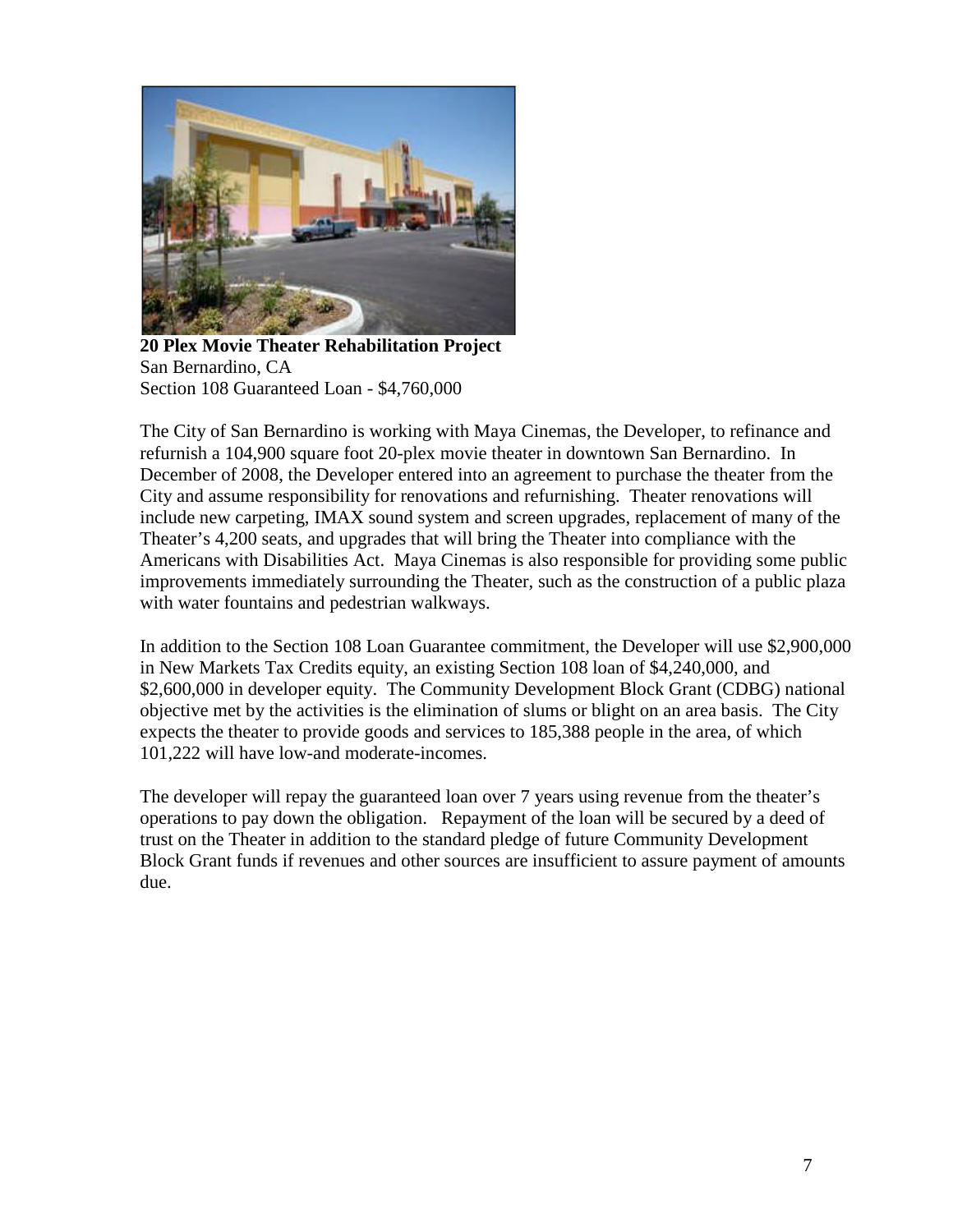

**20 Plex Movie Theater Rehabilitation Project** San Bernardino, CA Section 108 Guaranteed Loan - \$4,760,000

The City of San Bernardino is working with Maya Cinemas, the Developer, to refinance and refurnish a 104,900 square foot 20-plex movie theater in downtown San Bernardino. In December of 2008, the Developer entered into an agreement to purchase the theater from the City and assume responsibility for renovations and refurnishing. Theater renovations will include new carpeting, IMAX sound system and screen upgrades, replacement of many of the Theater's 4,200 seats, and upgrades that will bring the Theater into compliance with the Americans with Disabilities Act. Maya Cinemas is also responsible for providing some public improvements immediately surrounding the Theater, such as the construction of a public plaza with water fountains and pedestrian walkways.

In addition to the Section 108 Loan Guarantee commitment, the Developer will use \$2,900,000 in New Markets Tax Credits equity, an existing Section 108 loan of \$4,240,000, and \$2,600,000 in developer equity. The Community Development Block Grant (CDBG) national objective met by the activities is the elimination of slums or blight on an area basis. The City expects the theater to provide goods and services to 185,388 people in the area, of which 101,222 will have low-and moderate-incomes.

The developer will repay the guaranteed loan over 7 years using revenue from the theater's operations to pay down the obligation. Repayment of the loan will be secured by a deed of trust on the Theater in addition to the standard pledge of future Community Development Block Grant funds if revenues and other sources are insufficient to assure payment of amounts due.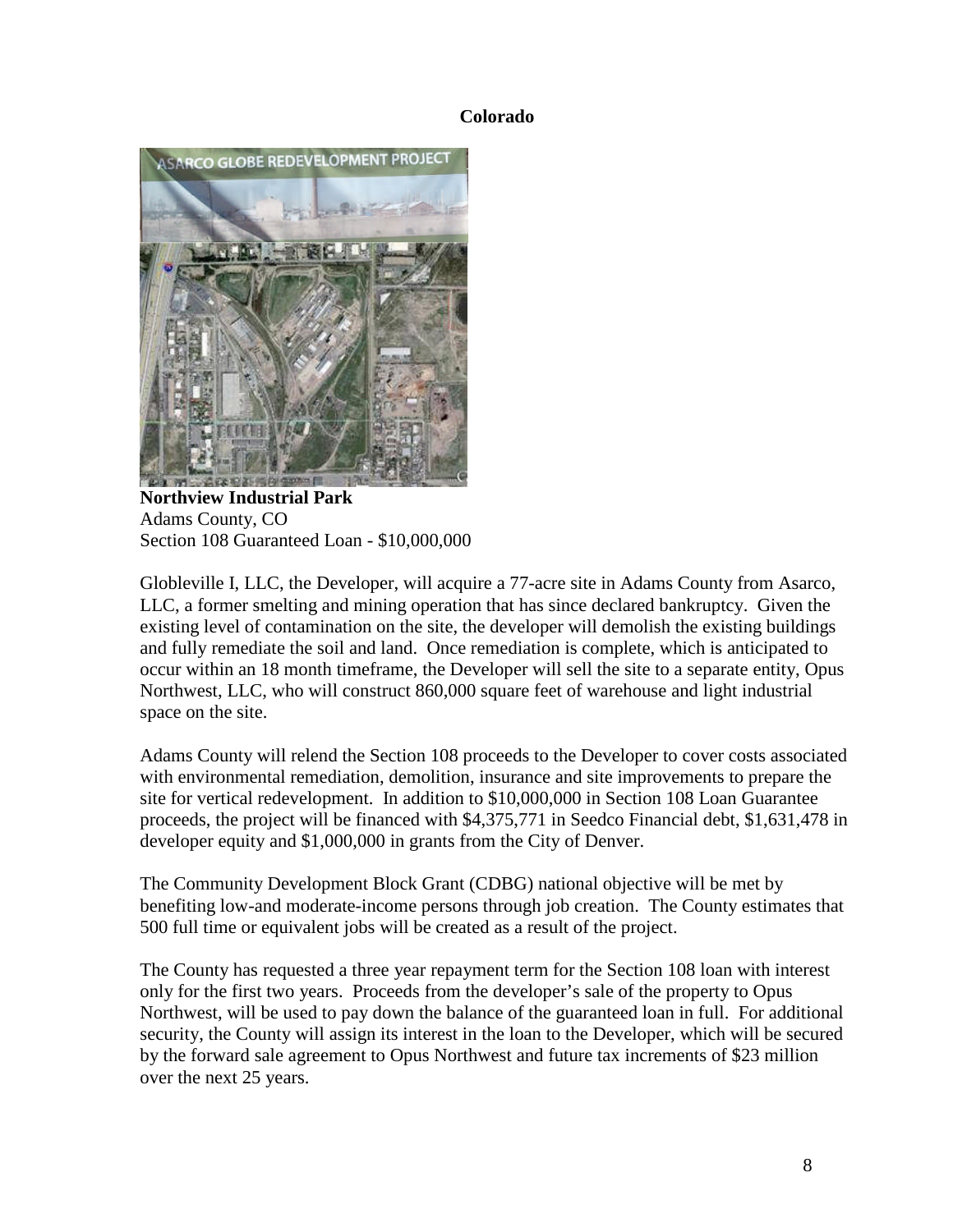## **Colorado**



**Northview Industrial Park** Adams County, CO Section 108 Guaranteed Loan - \$10,000,000

Globleville I, LLC, the Developer, will acquire a 77-acre site in Adams County from Asarco, LLC, a former smelting and mining operation that has since declared bankruptcy. Given the existing level of contamination on the site, the developer will demolish the existing buildings and fully remediate the soil and land. Once remediation is complete, which is anticipated to occur within an 18 month timeframe, the Developer will sell the site to a separate entity, Opus Northwest, LLC, who will construct 860,000 square feet of warehouse and light industrial space on the site.

Adams County will relend the Section 108 proceeds to the Developer to cover costs associated with environmental remediation, demolition, insurance and site improvements to prepare the site for vertical redevelopment. In addition to \$10,000,000 in Section 108 Loan Guarantee proceeds, the project will be financed with \$4,375,771 in Seedco Financial debt, \$1,631,478 in developer equity and \$1,000,000 in grants from the City of Denver.

The Community Development Block Grant (CDBG) national objective will be met by benefiting low-and moderate-income persons through job creation. The County estimates that 500 full time or equivalent jobs will be created as a result of the project.

The County has requested a three year repayment term for the Section 108 loan with interest only for the first two years. Proceeds from the developer's sale of the property to Opus Northwest, will be used to pay down the balance of the guaranteed loan in full. For additional security, the County will assign its interest in the loan to the Developer, which will be secured by the forward sale agreement to Opus Northwest and future tax increments of \$23 million over the next 25 years.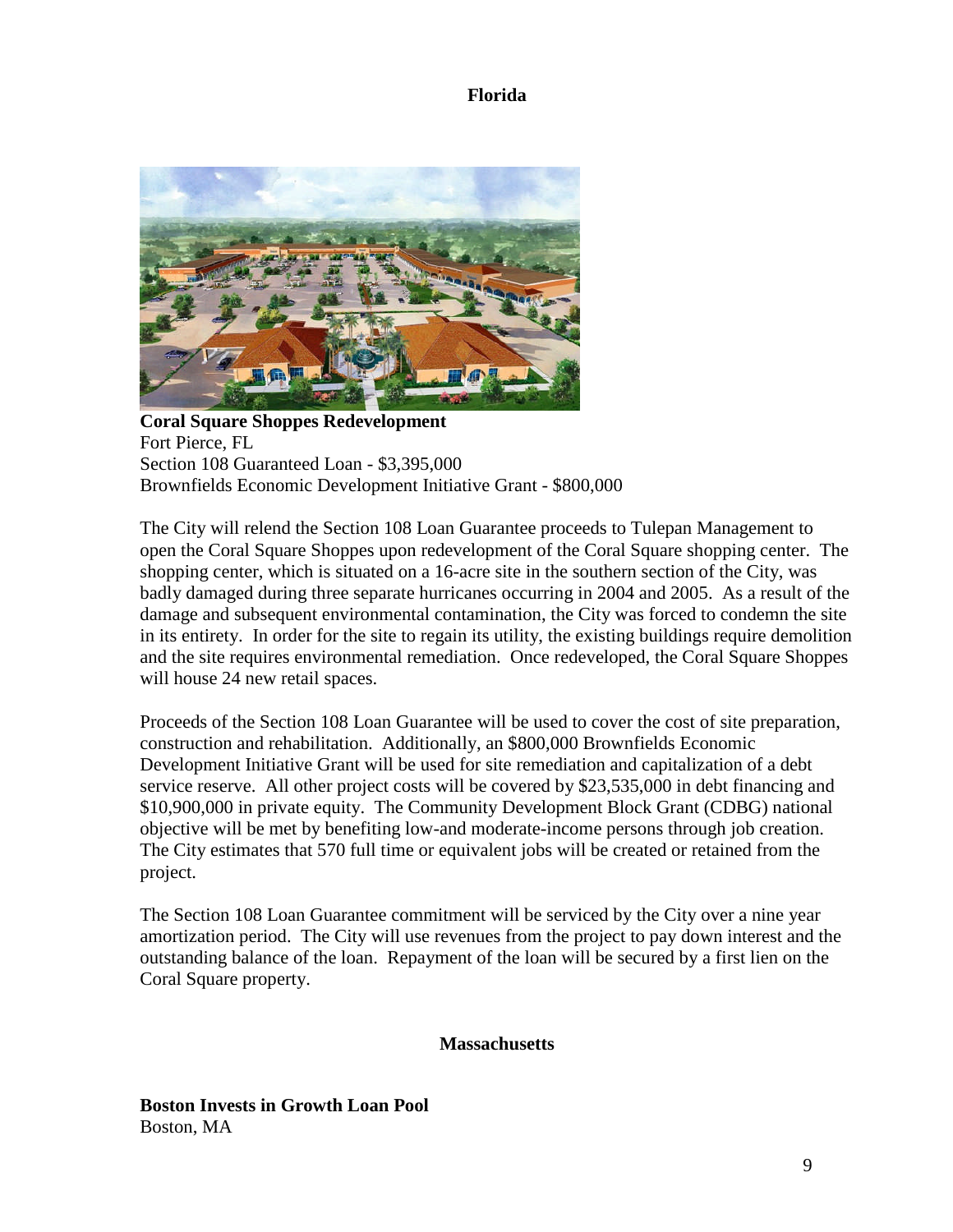**Florida**



**Coral Square Shoppes Redevelopment** Fort Pierce, FL Section 108 Guaranteed Loan - \$3,395,000 Brownfields Economic Development Initiative Grant - \$800,000

The City will relend the Section 108 Loan Guarantee proceeds to Tulepan Management to open the Coral Square Shoppes upon redevelopment of the Coral Square shopping center. The shopping center, which is situated on a 16-acre site in the southern section of the City, was badly damaged during three separate hurricanes occurring in 2004 and 2005. As a result of the damage and subsequent environmental contamination, the City was forced to condemn the site in its entirety. In order for the site to regain its utility, the existing buildings require demolition and the site requires environmental remediation. Once redeveloped, the Coral Square Shoppes will house 24 new retail spaces.

Proceeds of the Section 108 Loan Guarantee will be used to cover the cost of site preparation, construction and rehabilitation. Additionally, an \$800,000 Brownfields Economic Development Initiative Grant will be used for site remediation and capitalization of a debt service reserve. All other project costs will be covered by \$23,535,000 in debt financing and \$10,900,000 in private equity. The Community Development Block Grant (CDBG) national objective will be met by benefiting low-and moderate-income persons through job creation. The City estimates that 570 full time or equivalent jobs will be created or retained from the project.

The Section 108 Loan Guarantee commitment will be serviced by the City over a nine year amortization period. The City will use revenues from the project to pay down interest and the outstanding balance of the loan. Repayment of the loan will be secured by a first lien on the Coral Square property.

## **Massachusetts**

**Boston Invests in Growth Loan Pool** Boston, MA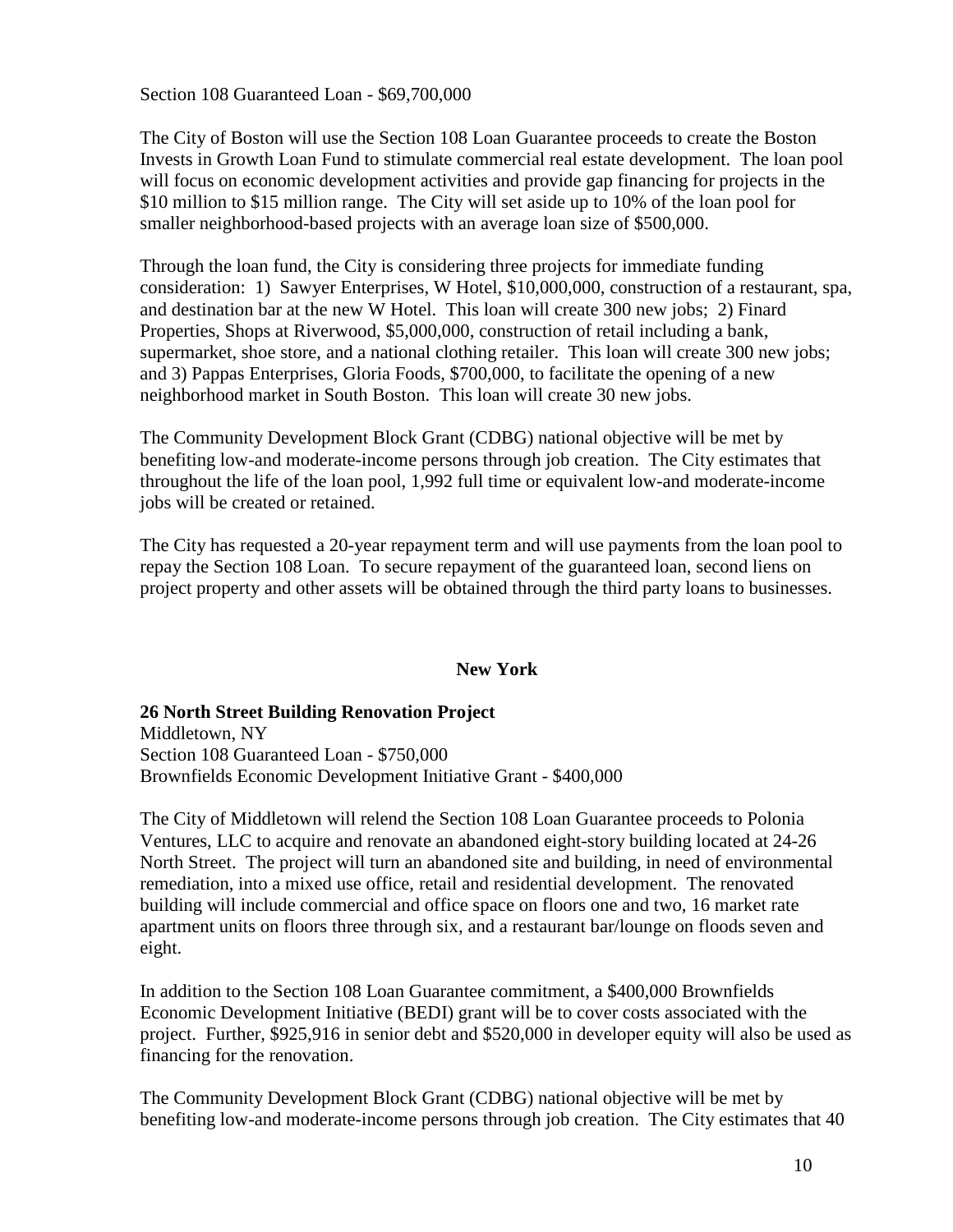Section 108 Guaranteed Loan - \$69,700,000

The City of Boston will use the Section 108 Loan Guarantee proceeds to create the Boston Invests in Growth Loan Fund to stimulate commercial real estate development. The loan pool will focus on economic development activities and provide gap financing for projects in the \$10 million to \$15 million range. The City will set aside up to 10% of the loan pool for smaller neighborhood-based projects with an average loan size of \$500,000.

Through the loan fund, the City is considering three projects for immediate funding consideration: 1) Sawyer Enterprises, W Hotel, \$10,000,000, construction of a restaurant, spa, and destination bar at the new W Hotel. This loan will create 300 new jobs; 2) Finard Properties, Shops at Riverwood, \$5,000,000, construction of retail including a bank, supermarket, shoe store, and a national clothing retailer. This loan will create 300 new jobs; and 3) Pappas Enterprises, Gloria Foods, \$700,000, to facilitate the opening of a new neighborhood market in South Boston. This loan will create 30 new jobs.

The Community Development Block Grant (CDBG) national objective will be met by benefiting low-and moderate-income persons through job creation. The City estimates that throughout the life of the loan pool, 1,992 full time or equivalent low-and moderate-income jobs will be created or retained.

The City has requested a 20-year repayment term and will use payments from the loan pool to repay the Section 108 Loan. To secure repayment of the guaranteed loan, second liens on project property and other assets will be obtained through the third party loans to businesses.

## **New York**

**26 North Street Building Renovation Project** Middletown, NY Section 108 Guaranteed Loan - \$750,000 Brownfields Economic Development Initiative Grant - \$400,000

The City of Middletown will relend the Section 108 Loan Guarantee proceeds to Polonia Ventures, LLC to acquire and renovate an abandoned eight-story building located at 24-26 North Street. The project will turn an abandoned site and building, in need of environmental remediation, into a mixed use office, retail and residential development. The renovated

building will include commercial and office space on floors one and two, 16 market rate apartment units on floors three through six, and a restaurant bar/lounge on floods seven and eight.

In addition to the Section 108 Loan Guarantee commitment, a \$400,000 Brownfields Economic Development Initiative (BEDI) grant will be to cover costs associated with the project. Further, \$925,916 in senior debt and \$520,000 in developer equity will also be used as financing for the renovation.

The Community Development Block Grant (CDBG) national objective will be met by benefiting low-and moderate-income persons through job creation. The City estimates that 40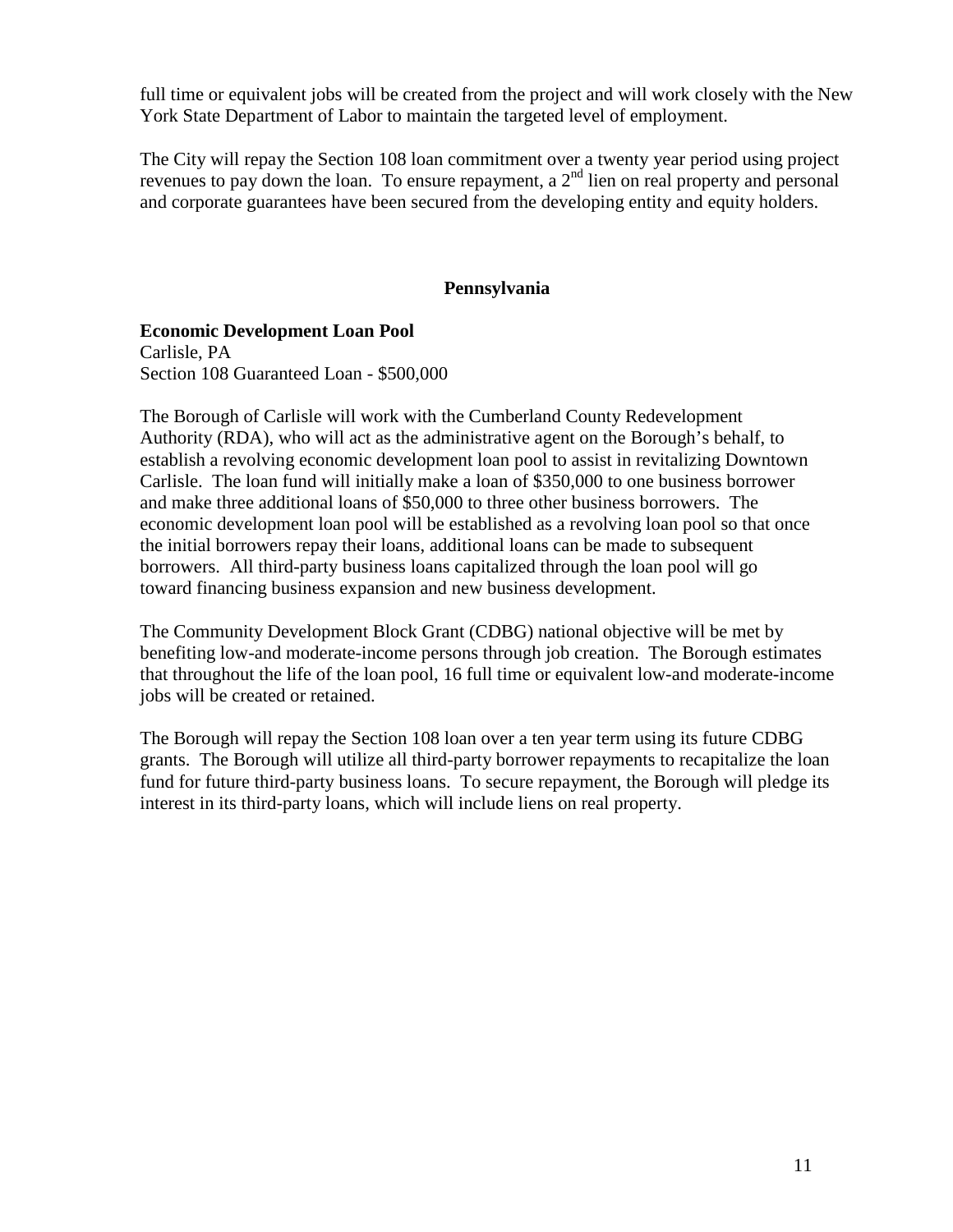full time or equivalent jobs will be created from the project and will work closely with the New York State Department of Labor to maintain the targeted level of employment.

The City will repay the Section 108 loan commitment over a twenty year period using project revenues to pay down the loan. To ensure repayment, a  $2<sup>nd</sup>$  lien on real property and personal and corporate guarantees have been secured from the developing entity and equity holders.

## **Pennsylvania**

**Economic Development Loan Pool** Carlisle, PA Section 108 Guaranteed Loan - \$500,000

The Borough of Carlisle will work with the Cumberland County Redevelopment Authority (RDA), who will act as the administrative agent on the Borough's behalf, to establish a revolving economic development loan pool to assist in revitalizing Downtown Carlisle. The loan fund will initially make a loan of \$350,000 to one business borrower and make three additional loans of \$50,000 to three other business borrowers. The economic development loan pool will be established as a revolving loan pool so that once the initial borrowers repay their loans, additional loans can be made to subsequent borrowers. All third-party business loans capitalized through the loan pool will go toward financing business expansion and new business development.

The Community Development Block Grant (CDBG) national objective will be met by benefiting low-and moderate-income persons through job creation. The Borough estimates that throughout the life of the loan pool, 16 full time or equivalent low-and moderate-income jobs will be created or retained.

The Borough will repay the Section 108 loan over a ten year term using its future CDBG grants. The Borough will utilize all third-party borrower repayments to recapitalize the loan fund for future third-party business loans. To secure repayment, the Borough will pledge its interest in its third-party loans, which will include liens on real property.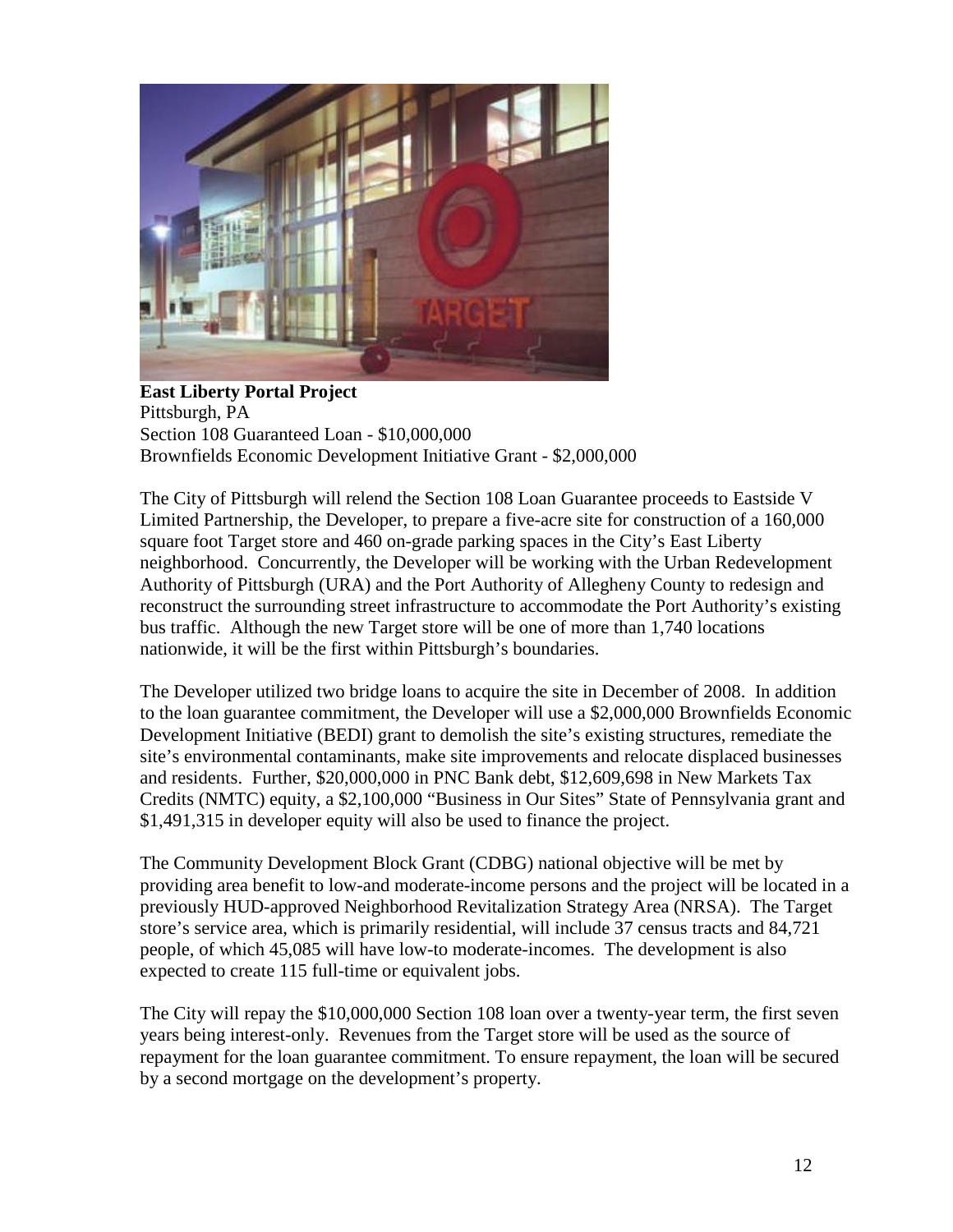

**East Liberty Portal Project** Pittsburgh, PA Section 108 Guaranteed Loan - \$10,000,000 Brownfields Economic Development Initiative Grant - \$2,000,000

The City of Pittsburgh will relend the Section 108 Loan Guarantee proceeds to Eastside V Limited Partnership, the Developer, to prepare a five-acre site for construction of a 160,000 square foot Target store and 460 on-grade parking spaces in the City's East Liberty neighborhood. Concurrently, the Developer will be working with the Urban Redevelopment Authority of Pittsburgh (URA) and the Port Authority of Allegheny County to redesign and reconstruct the surrounding street infrastructure to accommodate the Port Authority's existing bus traffic. Although the new Target store will be one of more than 1,740 locations nationwide, it will be the first within Pittsburgh's boundaries.

The Developer utilized two bridge loans to acquire the site in December of 2008. In addition to the loan guarantee commitment, the Developer will use a \$2,000,000 Brownfields Economic Development Initiative (BEDI) grant to demolish the site's existing structures, remediate the site's environmental contaminants, make site improvements and relocate displaced businesses and residents. Further, \$20,000,000 in PNC Bank debt, \$12,609,698 in New Markets Tax Credits (NMTC) equity, a \$2,100,000 "Business in Our Sites" State of Pennsylvania grant and \$1,491,315 in developer equity will also be used to finance the project.

The Community Development Block Grant (CDBG) national objective will be met by providing area benefit to low-and moderate-income persons and the project will be located in a previously HUD-approved Neighborhood Revitalization Strategy Area (NRSA). The Target store's service area, which is primarily residential, will include 37 census tracts and 84,721 people, of which 45,085 will have low-to moderate-incomes. The development is also expected to create 115 full-time or equivalent jobs.

The City will repay the \$10,000,000 Section 108 loan over a twenty-year term, the first seven years being interest-only. Revenues from the Target store will be used as the source of repayment for the loan guarantee commitment. To ensure repayment, the loan will be secured by a second mortgage on the development's property.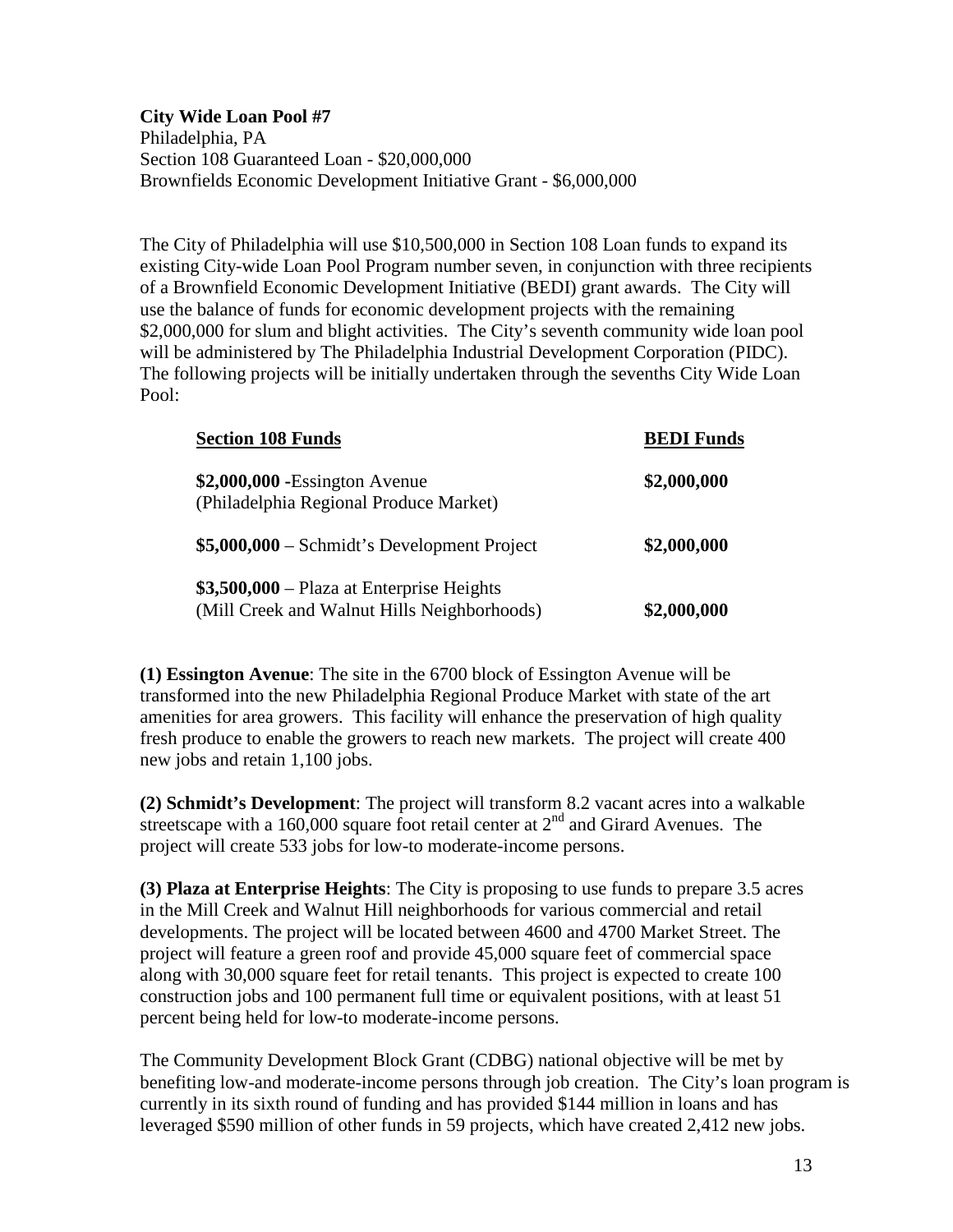## **City Wide Loan Pool #7**

Philadelphia, PA Section 108 Guaranteed Loan - \$20,000,000 Brownfields Economic Development Initiative Grant - \$6,000,000

The City of Philadelphia will use \$10,500,000 in Section 108 Loan funds to expand its existing City-wide Loan Pool Program number seven, in conjunction with three recipients of a Brownfield Economic Development Initiative (BEDI) grant awards. The City will use the balance of funds for economic development projects with the remaining \$2,000,000 for slum and blight activities. The City's seventh community wide loan pool will be administered by The Philadelphia Industrial Development Corporation (PIDC). The following projects will be initially undertaken through the sevenths City Wide Loan Pool:

| <b>Section 108 Funds</b>                                                                  | <b>BEDI</b> Funds |
|-------------------------------------------------------------------------------------------|-------------------|
| $$2,000,000$ -Essington Avenue<br>(Philadelphia Regional Produce Market)                  | \$2,000,000       |
| $$5,000,000 - Schmidt's Development Project$                                              | \$2,000,000       |
| $$3,500,000 -$ Plaza at Enterprise Heights<br>(Mill Creek and Walnut Hills Neighborhoods) | \$2,000,000       |

**(1) Essington Avenue**: The site in the 6700 block of Essington Avenue will be transformed into the new Philadelphia Regional Produce Market with state of the art amenities for area growers. This facility will enhance the preservation of high quality fresh produce to enable the growers to reach new markets. The project will create 400 new jobs and retain 1,100 jobs.

**(2) Schmidt's Development**: The project will transform 8.2 vacant acres into a walkable streetscape with a 160,000 square foot retail center at  $2<sup>nd</sup>$  and Girard Avenues. The project will create 533 jobs for low-to moderate-income persons.

**(3) Plaza at Enterprise Heights**: The City is proposing to use funds to prepare 3.5 acres in the Mill Creek and Walnut Hill neighborhoods for various commercial and retail developments. The project will be located between 4600 and 4700 Market Street. The project will feature a green roof and provide 45,000 square feet of commercial space along with 30,000 square feet for retail tenants. This project is expected to create 100 construction jobs and 100 permanent full time or equivalent positions, with at least 51 percent being held for low-to moderate-income persons.

The Community Development Block Grant (CDBG) national objective will be met by benefiting low-and moderate-income persons through job creation. The City's loan program is currently in its sixth round of funding and has provided \$144 million in loans and has leveraged \$590 million of other funds in 59 projects, which have created 2,412 new jobs.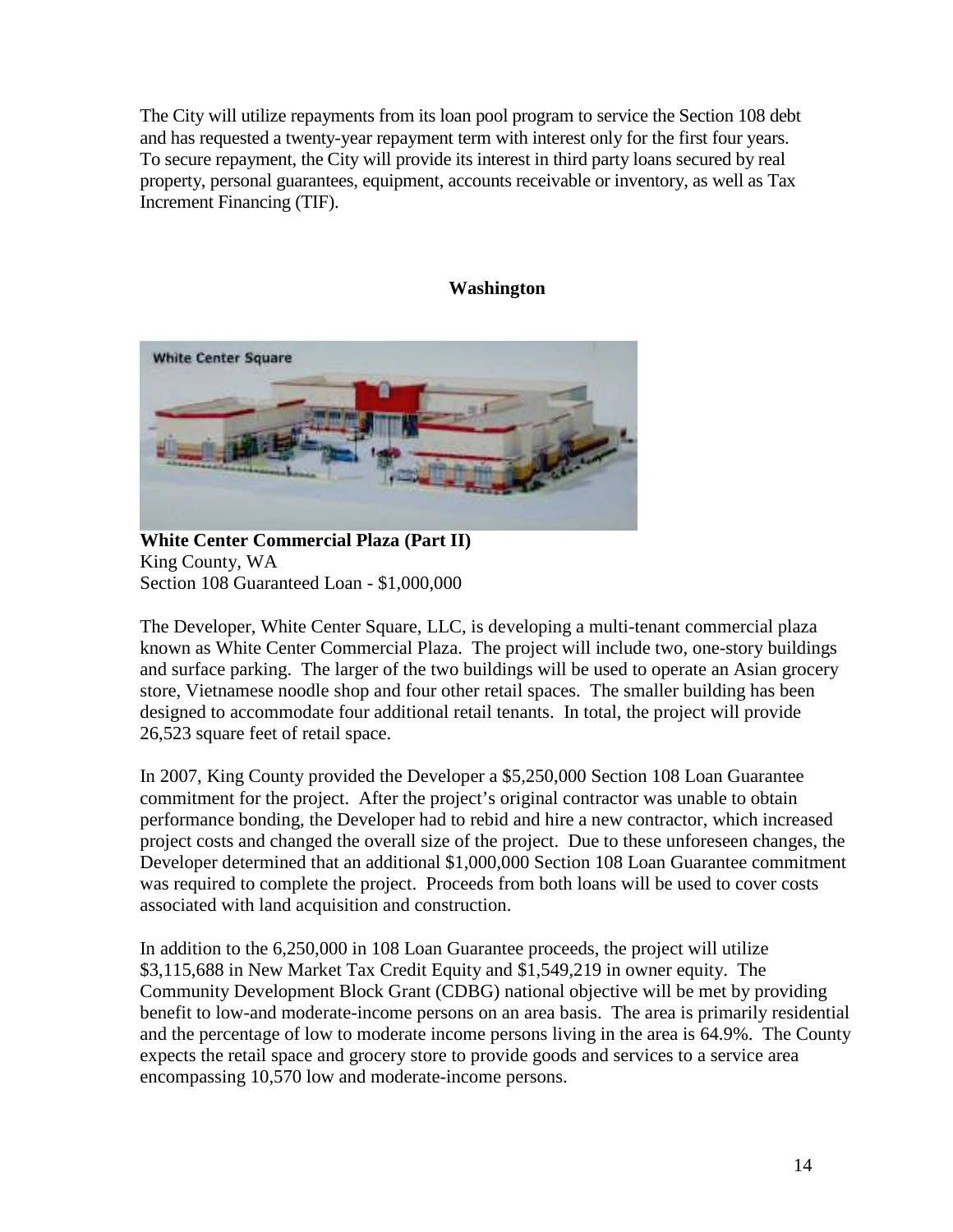The City will utilize repayments from its loan pool program to service the Section 108 debt and has requested a twenty-year repayment term with interest only for the first four years. To secure repayment, the City will provide its interest in third party loans secured by real property, personal guarantees, equipment, accounts receivable or inventory, as well as Tax Increment Financing (TIF).

### **Washington**



**White Center Commercial Plaza (Part II)** King County, WA Section 108 Guaranteed Loan - \$1,000,000

The Developer, White Center Square, LLC, is developing a multi-tenant commercial plaza known as White Center Commercial Plaza. The project will include two, one-story buildings and surface parking. The larger of the two buildings will be used to operate an Asian grocery store, Vietnamese noodle shop and four other retail spaces. The smaller building has been designed to accommodate four additional retail tenants. In total, the project will provide 26,523 square feet of retail space.

In 2007, King County provided the Developer a \$5,250,000 Section 108 Loan Guarantee commitment for the project. After the project's original contractor was unable to obtain performance bonding, the Developer had to rebid and hire a new contractor, which increased project costs and changed the overall size of the project. Due to these unforeseen changes, the Developer determined that an additional \$1,000,000 Section 108 Loan Guarantee commitment was required to complete the project. Proceeds from both loans will be used to cover costs associated with land acquisition and construction.

In addition to the 6,250,000 in 108 Loan Guarantee proceeds, the project will utilize \$3,115,688 in New Market Tax Credit Equity and \$1,549,219 in owner equity. The Community Development Block Grant (CDBG) national objective will be met by providing benefit to low-and moderate-income persons on an area basis. The area is primarily residential and the percentage of low to moderate income persons living in the area is 64.9%. The County expects the retail space and grocery store to provide goods and services to a service area encompassing 10,570 low and moderate-income persons.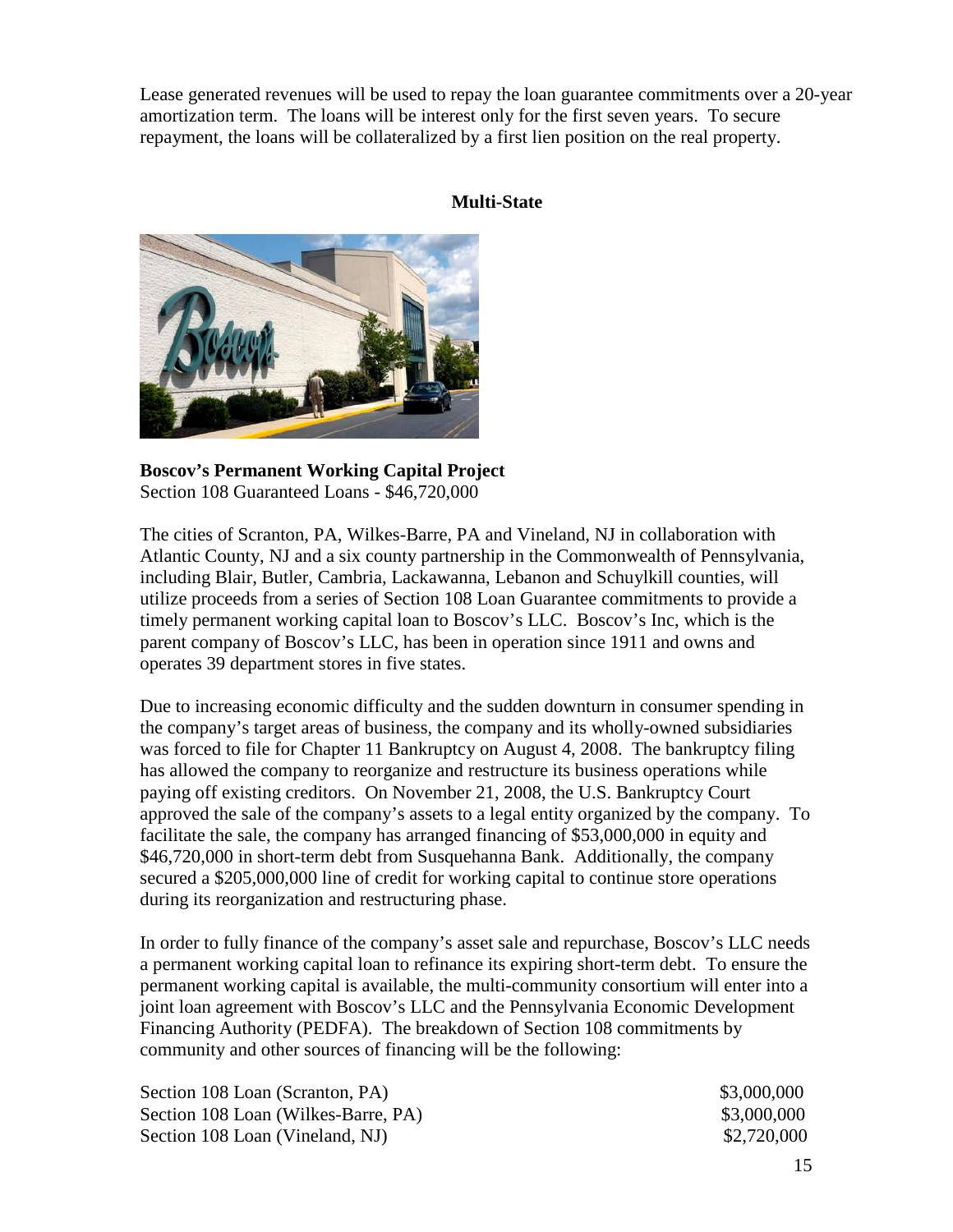Lease generated revenues will be used to repay the loan guarantee commitments over a 20-year amortization term. The loans will be interest only for the first seven years. To secure repayment, the loans will be collateralized by a first lien position on the real property.

## **Multi-State**



**Boscov's Permanent Working Capital Project** Section 108 Guaranteed Loans - \$46,720,000

The cities of Scranton, PA, Wilkes-Barre, PA and Vineland, NJ in collaboration with Atlantic County, NJ and a six county partnership in the Commonwealth of Pennsylvania, including Blair, Butler, Cambria, Lackawanna, Lebanon and Schuylkill counties, will utilize proceeds from a series of Section 108 Loan Guarantee commitments to provide a timely permanent working capital loan to Boscov's LLC. Boscov's Inc, which is the parent company of Boscov's LLC, has been in operation since 1911 and owns and operates 39 department stores in five states.

Due to increasing economic difficulty and the sudden downturn in consumer spending in the company's target areas of business, the company and its wholly-owned subsidiaries was forced to file for Chapter 11 Bankruptcy on August 4, 2008. The bankruptcy filing has allowed the company to reorganize and restructure its business operations while paying off existing creditors. On November 21, 2008, the U.S. Bankruptcy Court approved the sale of the company's assets to a legal entity organized by the company. To facilitate the sale, the company has arranged financing of \$53,000,000 in equity and \$46,720,000 in short-term debt from Susquehanna Bank. Additionally, the company secured a \$205,000,000 line of credit for working capital to continue store operations during its reorganization and restructuring phase.

In order to fully finance of the company's asset sale and repurchase, Boscov's LLC needs a permanent working capital loan to refinance its expiring short-term debt. To ensure the permanent working capital is available, the multi-community consortium will enter into a joint loan agreement with Boscov's LLC and the Pennsylvania Economic Development Financing Authority (PEDFA). The breakdown of Section 108 commitments by community and other sources of financing will be the following:

| Section 108 Loan (Scranton, PA)     | \$3,000,000 |
|-------------------------------------|-------------|
| Section 108 Loan (Wilkes-Barre, PA) | \$3,000,000 |
| Section 108 Loan (Vineland, NJ)     | \$2,720,000 |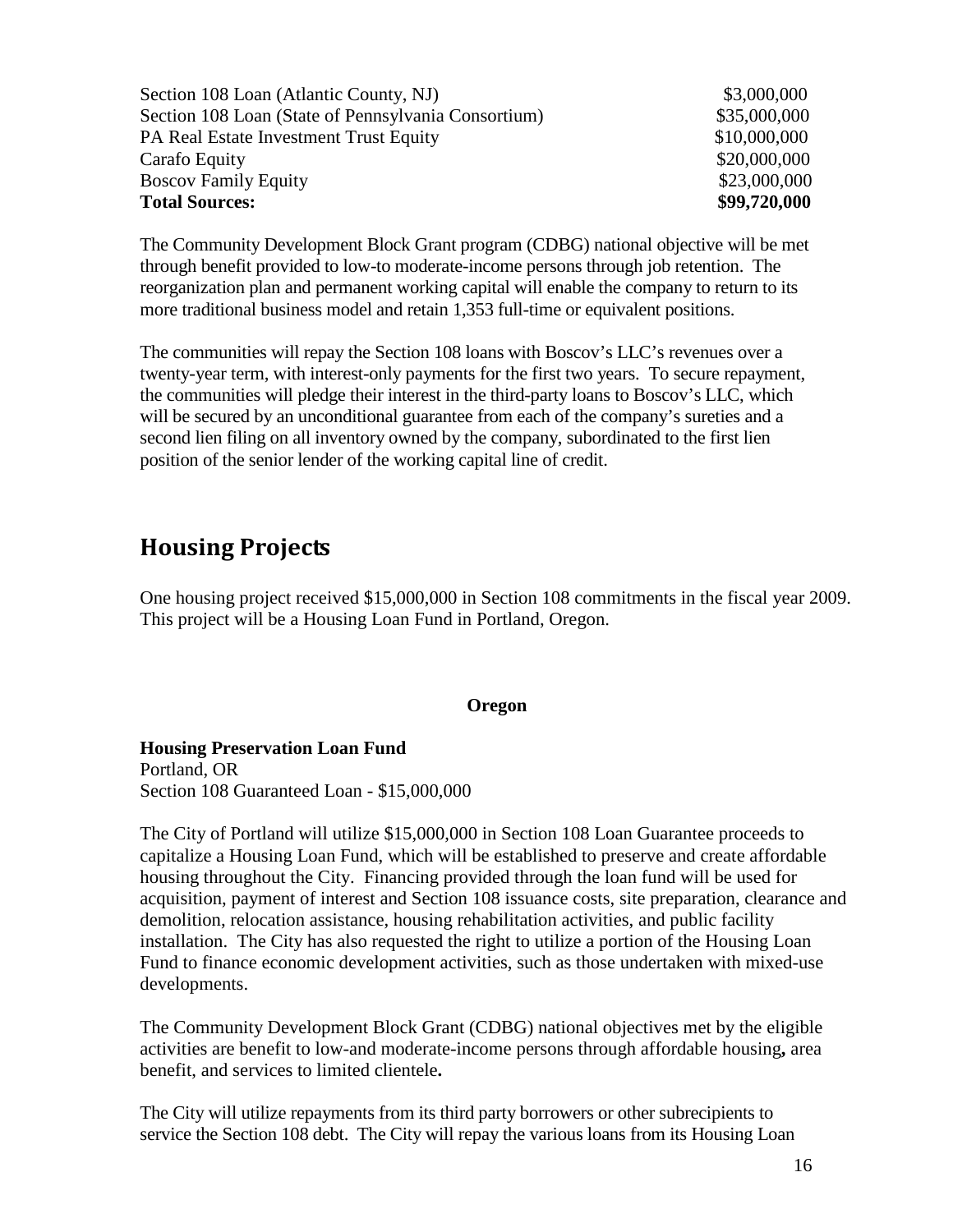Section 108 Loan (Atlantic County, NJ)  $$3,000,000$ Section 108 Loan (State of Pennsylvania Consortium) \$35,000,000 PA Real Estate Investment Trust Equity \$10,000,000 \$10,000,000 Carafo Equity \$20,000,000 Boscov Family Equity  $$23,000,000$ **Total Sources: \$99,720,000**

The Community Development Block Grant program (CDBG) national objective will be met through benefit provided to low-to moderate-income persons through job retention. The reorganization plan and permanent working capital will enable the company to return to its more traditional business model and retain 1,353 full-time or equivalent positions.

The communities will repay the Section 108 loans with Boscov's LLC's revenues over a twenty-year term, with interest-only payments for the first two years. To secure repayment, the communities will pledge their interest in the third-party loans to Boscov's LLC, which will be secured by an unconditional guarantee from each of the company's sureties and a second lien filing on all inventory owned by the company, subordinated to the first lien position of the senior lender of the working capital line of credit.

# **Housing Projects**

One housing project received \$15,000,000 in Section 108 commitments in the fiscal year 2009. This project will be a Housing Loan Fund in Portland, Oregon.

## **Oregon**

## **Housing Preservation Loan Fund** Portland, OR

Section 108 Guaranteed Loan - \$15,000,000

The City of Portland will utilize \$15,000,000 in Section 108 Loan Guarantee proceeds to capitalize a Housing Loan Fund, which will be established to preserve and create affordable housing throughout the City. Financing provided through the loan fund will be used for acquisition, payment of interest and Section 108 issuance costs, site preparation, clearance and demolition, relocation assistance, housing rehabilitation activities, and public facility installation. The City has also requested the right to utilize a portion of the Housing Loan Fund to finance economic development activities, such as those undertaken with mixed-use developments.

The Community Development Block Grant (CDBG) national objectives met by the eligible activities are benefit to low-and moderate-income persons through affordable housing**,** area benefit, and services to limited clientele**.**

The City will utilize repayments from its third party borrowers or other subrecipients to service the Section 108 debt. The City will repay the various loans from its Housing Loan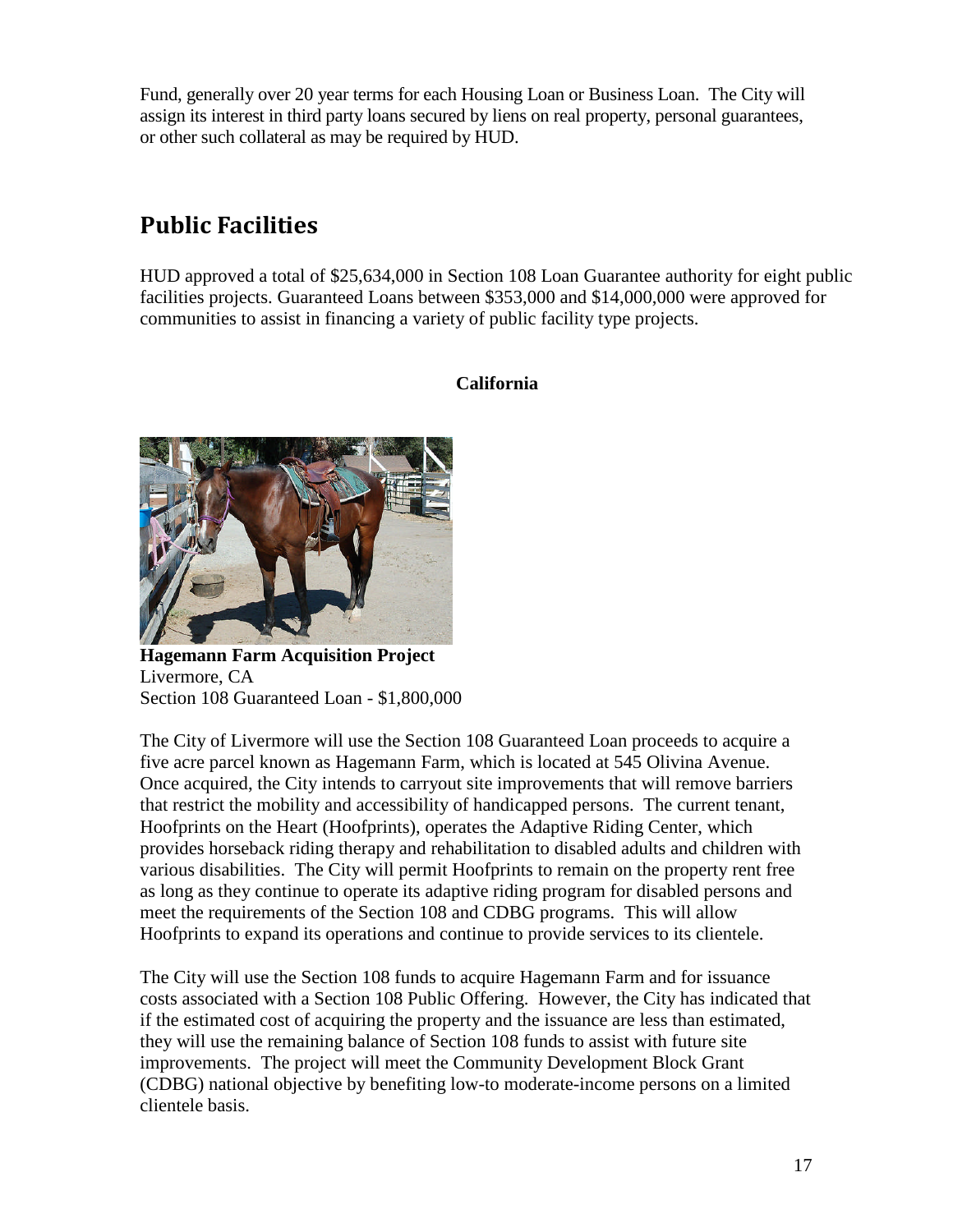Fund, generally over 20 year terms for each Housing Loan or Business Loan. The City will assign its interest in third party loans secured by liens on real property, personal guarantees, or other such collateral as may be required by HUD.

# **Public Facilities**

HUD approved a total of \$25,634,000 in Section 108 Loan Guarantee authority for eight public facilities projects. Guaranteed Loans between \$353,000 and \$14,000,000 were approved for communities to assist in financing a variety of public facility type projects.

# **California**



**Hagemann Farm Acquisition Project** Livermore, CA Section 108 Guaranteed Loan - \$1,800,000

The City of Livermore will use the Section 108 Guaranteed Loan proceeds to acquire a five acre parcel known as Hagemann Farm, which is located at 545 Olivina Avenue. Once acquired, the City intends to carryout site improvements that will remove barriers that restrict the mobility and accessibility of handicapped persons. The current tenant, Hoofprints on the Heart (Hoofprints), operates the Adaptive Riding Center, which provides horseback riding therapy and rehabilitation to disabled adults and children with various disabilities. The City will permit Hoofprints to remain on the property rent free as long as they continue to operate its adaptive riding program for disabled persons and meet the requirements of the Section 108 and CDBG programs. This will allow Hoofprints to expand its operations and continue to provide services to its clientele.

The City will use the Section 108 funds to acquire Hagemann Farm and for issuance costs associated with a Section 108 Public Offering. However, the City has indicated that if the estimated cost of acquiring the property and the issuance are less than estimated, they will use the remaining balance of Section 108 funds to assist with future site improvements. The project will meet the Community Development Block Grant (CDBG) national objective by benefiting low-to moderate-income persons on a limited clientele basis.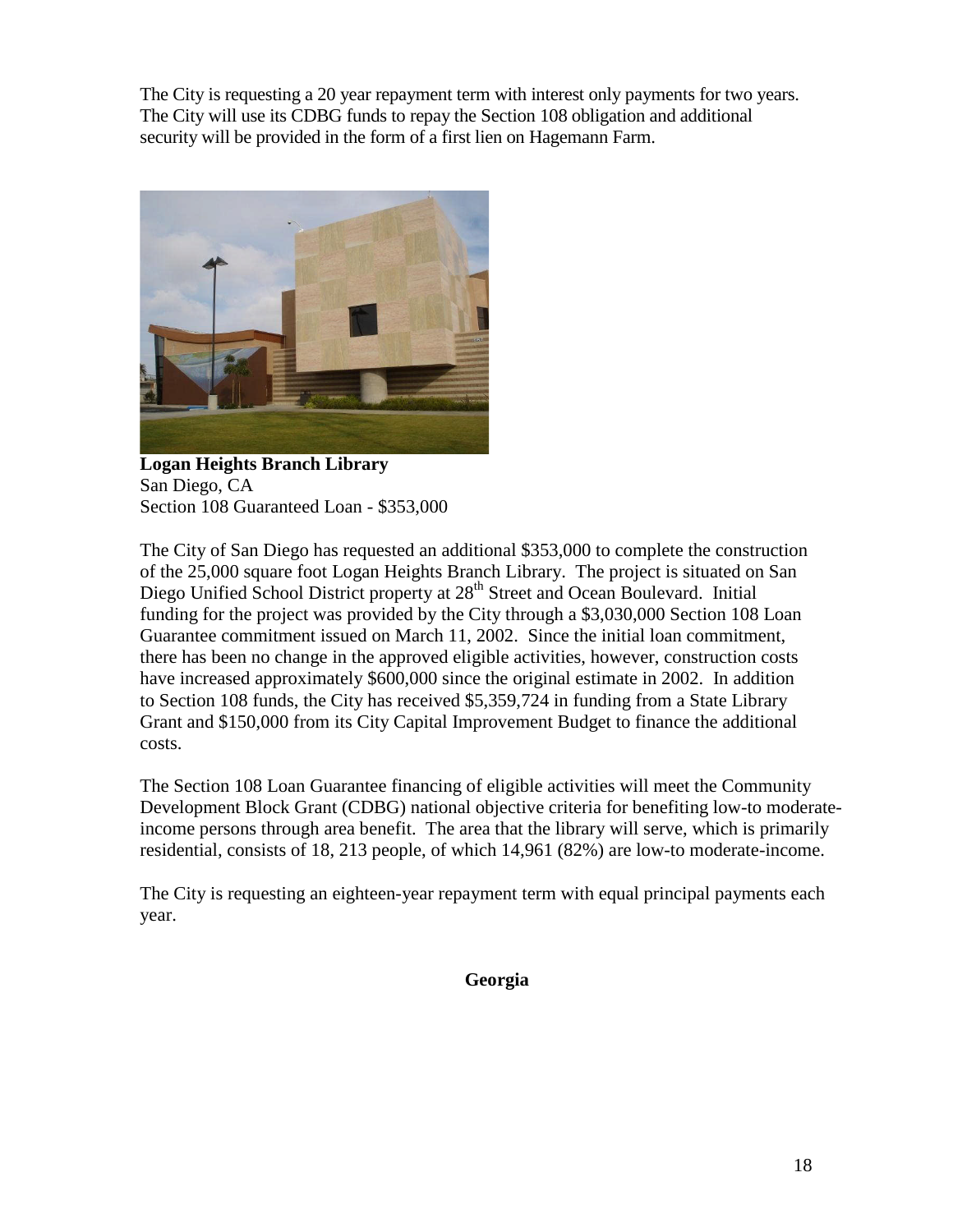The City is requesting a 20 year repayment term with interest only payments for two years. The City will use its CDBG funds to repay the Section 108 obligation and additional security will be provided in the form of a first lien on Hagemann Farm.



**Logan Heights Branch Library** San Diego, CA Section 108 Guaranteed Loan - \$353,000

The City of San Diego has requested an additional \$353,000 to complete the construction of the 25,000 square foot Logan Heights Branch Library. The project is situated on San Diego Unified School District property at 28<sup>th</sup> Street and Ocean Boulevard. Initial funding for the project was provided by the City through a \$3,030,000 Section 108 Loan Guarantee commitment issued on March 11, 2002. Since the initial loan commitment, there has been no change in the approved eligible activities, however, construction costs have increased approximately \$600,000 since the original estimate in 2002. In addition to Section 108 funds, the City has received \$5,359,724 in funding from a State Library Grant and \$150,000 from its City Capital Improvement Budget to finance the additional costs.

The Section 108 Loan Guarantee financing of eligible activities will meet the Community Development Block Grant (CDBG) national objective criteria for benefiting low-to moderateincome persons through area benefit. The area that the library will serve, which is primarily residential, consists of 18, 213 people, of which 14,961 (82%) are low-to moderate-income.

The City is requesting an eighteen-year repayment term with equal principal payments each year.

**Georgia**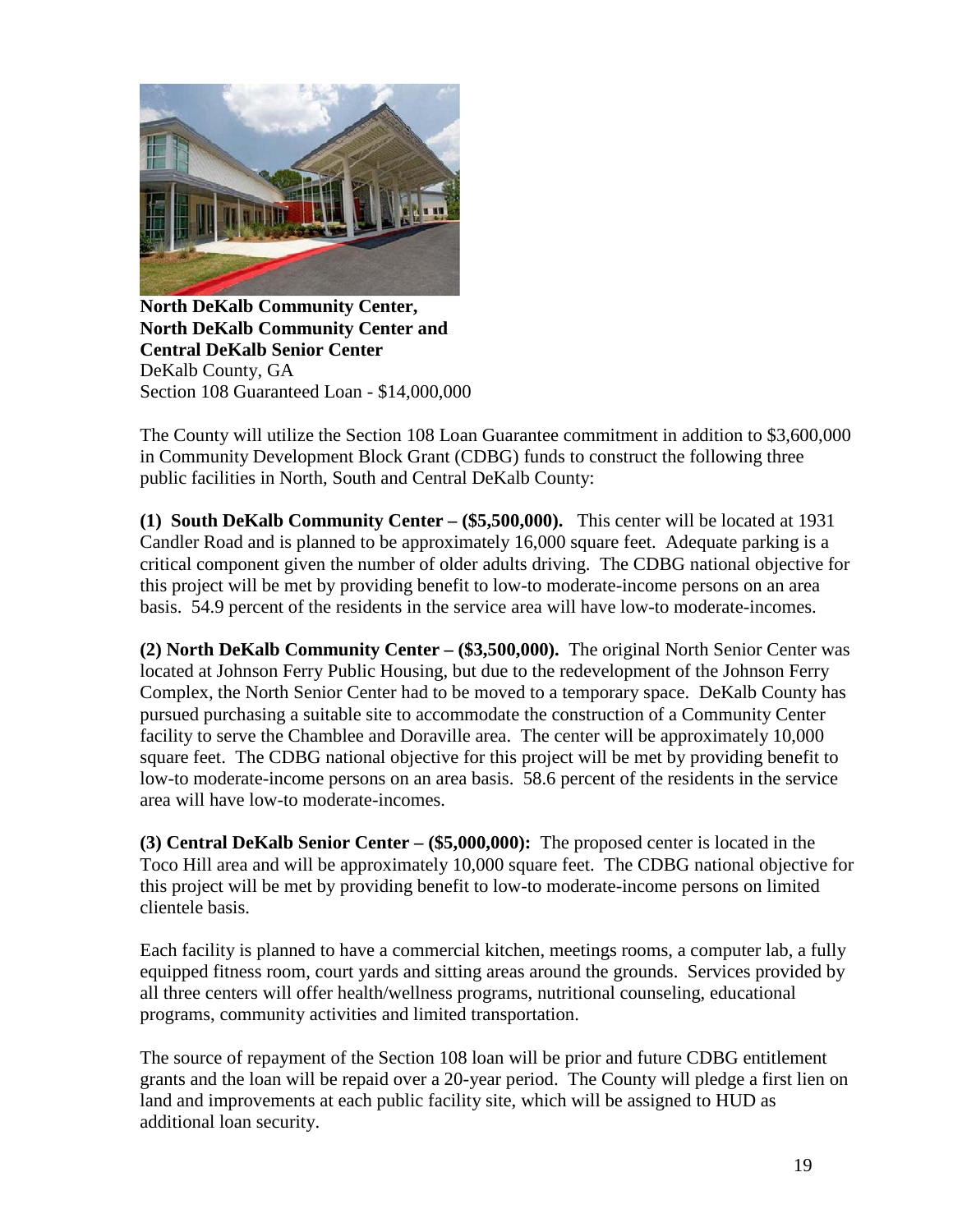

**North DeKalb Community Center, North DeKalb Community Center and Central DeKalb Senior Center** DeKalb County, GA Section 108 Guaranteed Loan - \$14,000,000

The County will utilize the Section 108 Loan Guarantee commitment in addition to \$3,600,000 in Community Development Block Grant (CDBG) funds to construct the following three public facilities in North, South and Central DeKalb County:

**(1) South DeKalb Community Center – (\$5,500,000).** This center will be located at 1931 Candler Road and is planned to be approximately 16,000 square feet. Adequate parking is a critical component given the number of older adults driving. The CDBG national objective for this project will be met by providing benefit to low-to moderate-income persons on an area basis. 54.9 percent of the residents in the service area will have low-to moderate-incomes.

**(2) North DeKalb Community Center – (\$3,500,000).** The original North Senior Center was located at Johnson Ferry Public Housing, but due to the redevelopment of the Johnson Ferry Complex, the North Senior Center had to be moved to a temporary space. DeKalb County has pursued purchasing a suitable site to accommodate the construction of a Community Center facility to serve the Chamblee and Doraville area. The center will be approximately 10,000 square feet. The CDBG national objective for this project will be met by providing benefit to low-to moderate-income persons on an area basis. 58.6 percent of the residents in the service area will have low-to moderate-incomes.

**(3) Central DeKalb Senior Center – (\$5,000,000):** The proposed center is located in the Toco Hill area and will be approximately 10,000 square feet. The CDBG national objective for this project will be met by providing benefit to low-to moderate-income persons on limited clientele basis.

Each facility is planned to have a commercial kitchen, meetings rooms, a computer lab, a fully equipped fitness room, court yards and sitting areas around the grounds. Services provided by all three centers will offer health/wellness programs, nutritional counseling, educational programs, community activities and limited transportation.

The source of repayment of the Section 108 loan will be prior and future CDBG entitlement grants and the loan will be repaid over a 20-year period. The County will pledge a first lien on land and improvements at each public facility site, which will be assigned to HUD as additional loan security.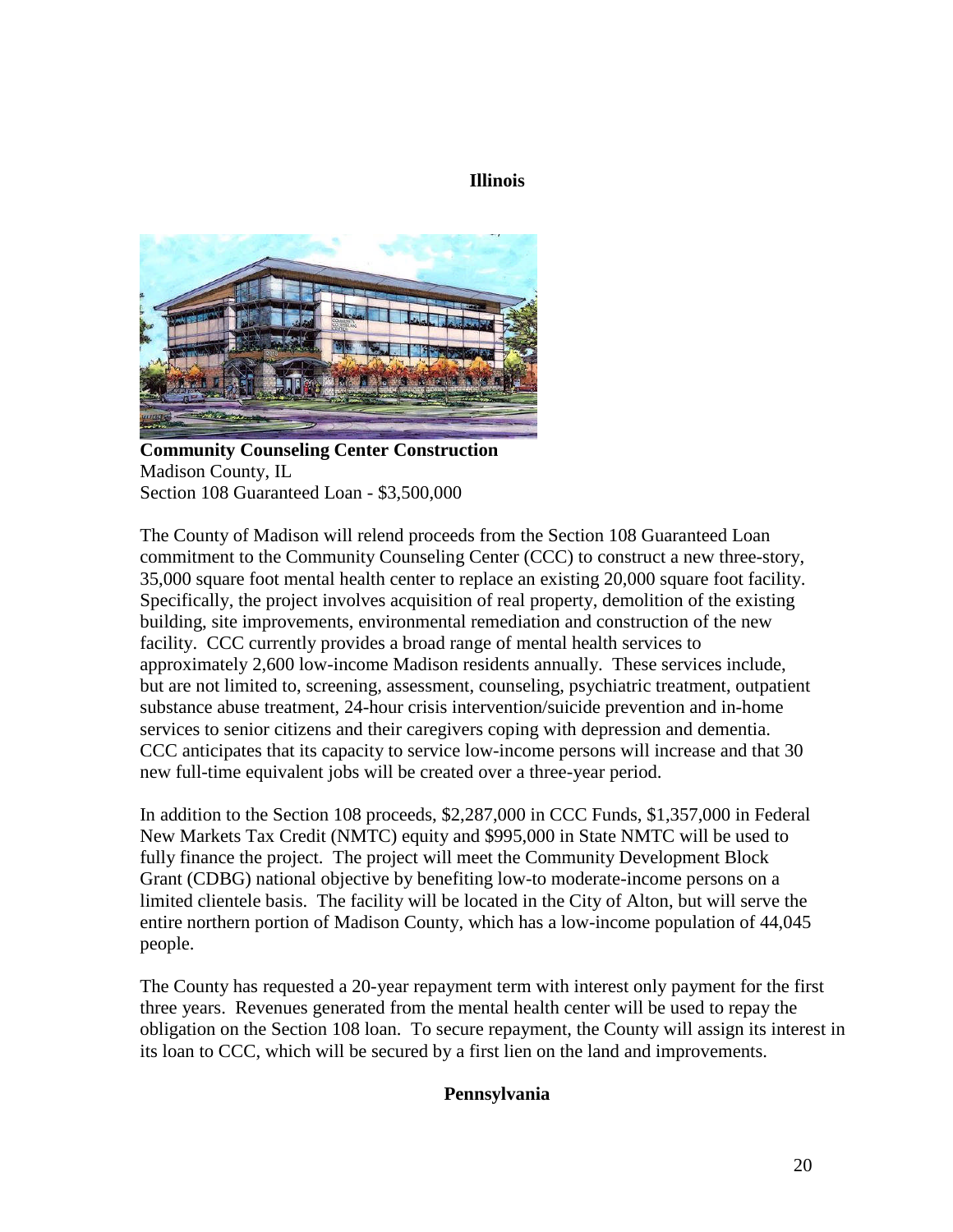## **Illinois**



**Community Counseling Center Construction** Madison County, IL Section 108 Guaranteed Loan - \$3,500,000

The County of Madison will relend proceeds from the Section 108 Guaranteed Loan commitment to the Community Counseling Center (CCC) to construct a new three-story, 35,000 square foot mental health center to replace an existing 20,000 square foot facility. Specifically, the project involves acquisition of real property, demolition of the existing building, site improvements, environmental remediation and construction of the new facility. CCC currently provides a broad range of mental health services to approximately 2,600 low-income Madison residents annually. These services include, but are not limited to, screening, assessment, counseling, psychiatric treatment, outpatient substance abuse treatment, 24-hour crisis intervention/suicide prevention and in-home services to senior citizens and their caregivers coping with depression and dementia. CCC anticipates that its capacity to service low-income persons will increase and that 30 new full-time equivalent jobs will be created over a three-year period.

In addition to the Section 108 proceeds, \$2,287,000 in CCC Funds, \$1,357,000 in Federal New Markets Tax Credit (NMTC) equity and \$995,000 in State NMTC will be used to fully finance the project. The project will meet the Community Development Block Grant (CDBG) national objective by benefiting low-to moderate-income persons on a limited clientele basis. The facility will be located in the City of Alton, but will serve the entire northern portion of Madison County, which has a low-income population of 44,045 people.

The County has requested a 20-year repayment term with interest only payment for the first three years. Revenues generated from the mental health center will be used to repay the obligation on the Section 108 loan. To secure repayment, the County will assign its interest in its loan to CCC, which will be secured by a first lien on the land and improvements.

## **Pennsylvania**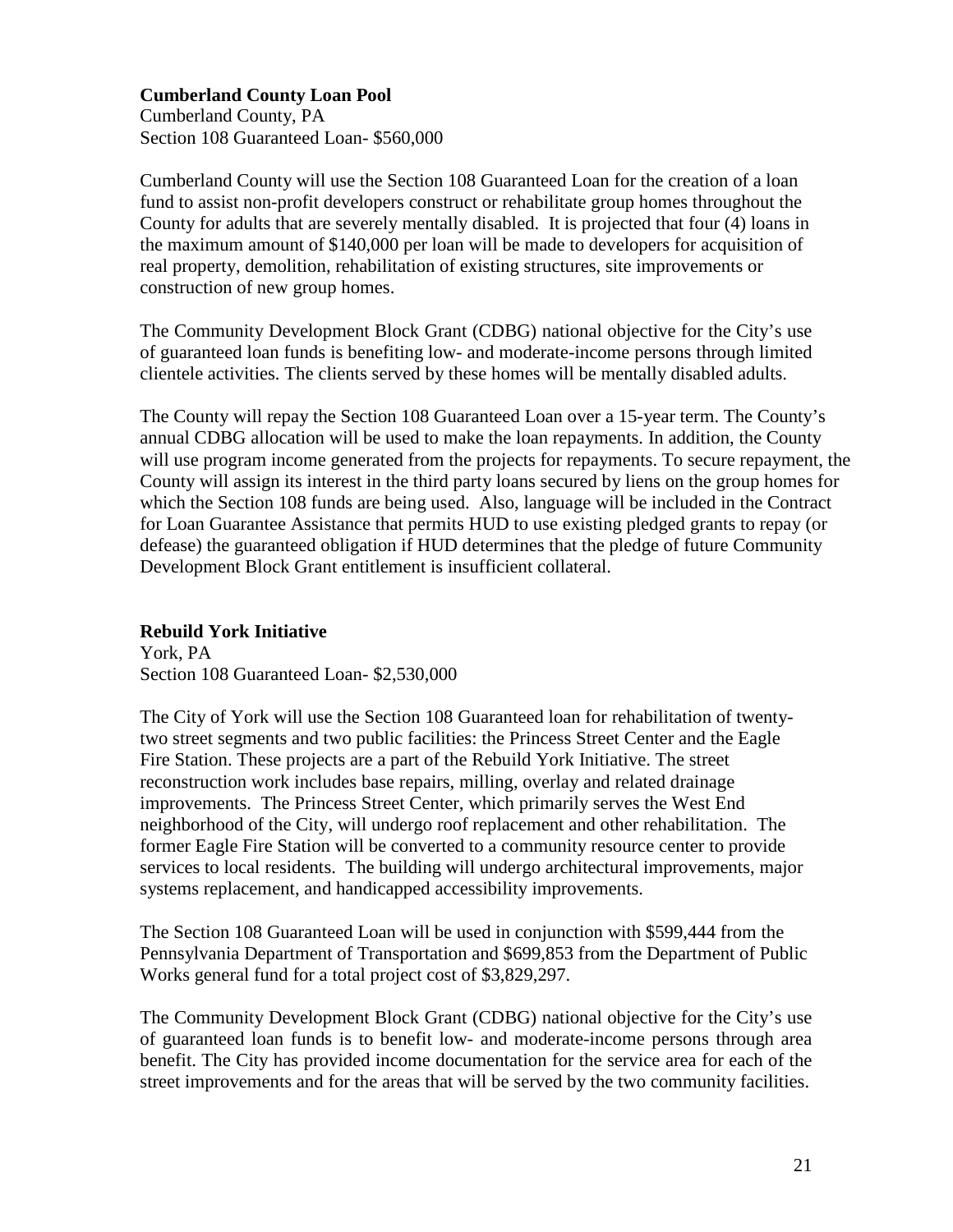## **Cumberland County Loan Pool**

Cumberland County, PA Section 108 Guaranteed Loan- \$560,000

Cumberland County will use the Section 108 Guaranteed Loan for the creation of a loan fund to assist non-profit developers construct or rehabilitate group homes throughout the County for adults that are severely mentally disabled. It is projected that four (4) loans in the maximum amount of \$140,000 per loan will be made to developers for acquisition of real property, demolition, rehabilitation of existing structures, site improvements or construction of new group homes.

The Community Development Block Grant (CDBG) national objective for the City's use of guaranteed loan funds is benefiting low- and moderate-income persons through limited clientele activities. The clients served by these homes will be mentally disabled adults.

The County will repay the Section 108 Guaranteed Loan over a 15-year term. The County's annual CDBG allocation will be used to make the loan repayments. In addition, the County will use program income generated from the projects for repayments. To secure repayment, the County will assign its interest in the third party loans secured by liens on the group homes for which the Section 108 funds are being used. Also, language will be included in the Contract for Loan Guarantee Assistance that permits HUD to use existing pledged grants to repay (or defease) the guaranteed obligation if HUD determines that the pledge of future Community Development Block Grant entitlement is insufficient collateral.

## **Rebuild York Initiative**

York, PA Section 108 Guaranteed Loan- \$2,530,000

The City of York will use the Section 108 Guaranteed loan for rehabilitation of twentytwo street segments and two public facilities: the Princess Street Center and the Eagle Fire Station. These projects are a part of the Rebuild York Initiative. The street reconstruction work includes base repairs, milling, overlay and related drainage improvements. The Princess Street Center, which primarily serves the West End neighborhood of the City, will undergo roof replacement and other rehabilitation. The former Eagle Fire Station will be converted to a community resource center to provide services to local residents. The building will undergo architectural improvements, major systems replacement, and handicapped accessibility improvements.

The Section 108 Guaranteed Loan will be used in conjunction with \$599,444 from the Pennsylvania Department of Transportation and \$699,853 from the Department of Public Works general fund for a total project cost of \$3,829,297.

The Community Development Block Grant (CDBG) national objective for the City's use of guaranteed loan funds is to benefit low- and moderate-income persons through area benefit. The City has provided income documentation for the service area for each of the street improvements and for the areas that will be served by the two community facilities.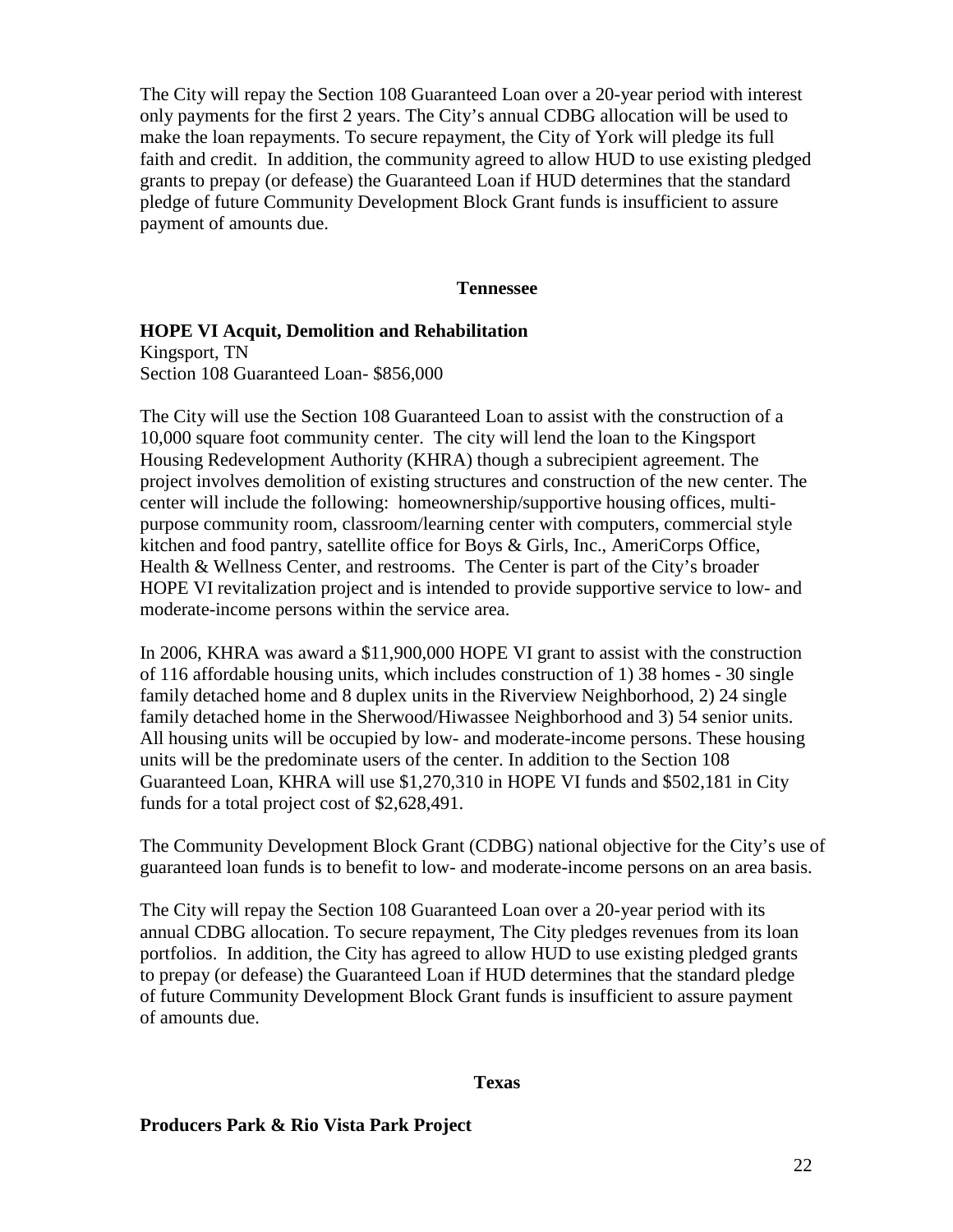The City will repay the Section 108 Guaranteed Loan over a 20-year period with interest only payments for the first 2 years. The City's annual CDBG allocation will be used to make the loan repayments. To secure repayment, the City of York will pledge its full faith and credit. In addition, the community agreed to allow HUD to use existing pledged grants to prepay (or defease) the Guaranteed Loan if HUD determines that the standard pledge of future Community Development Block Grant funds is insufficient to assure payment of amounts due.

#### **Tennessee**

#### **HOPE VI Acquit, Demolition and Rehabilitation**

Kingsport, TN Section 108 Guaranteed Loan- \$856,000

The City will use the Section 108 Guaranteed Loan to assist with the construction of a 10,000 square foot community center. The city will lend the loan to the Kingsport Housing Redevelopment Authority (KHRA) though a subrecipient agreement. The project involves demolition of existing structures and construction of the new center. The center will include the following: homeownership/supportive housing offices, multipurpose community room, classroom/learning center with computers, commercial style kitchen and food pantry, satellite office for Boys & Girls, Inc., AmeriCorps Office, Health & Wellness Center, and restrooms. The Center is part of the City's broader HOPE VI revitalization project and is intended to provide supportive service to low- and moderate-income persons within the service area.

In 2006, KHRA was award a \$11,900,000 HOPE VI grant to assist with the construction of 116 affordable housing units, which includes construction of 1) 38 homes - 30 single family detached home and 8 duplex units in the Riverview Neighborhood, 2) 24 single family detached home in the Sherwood/Hiwassee Neighborhood and 3) 54 senior units. All housing units will be occupied by low- and moderate-income persons. These housing units will be the predominate users of the center. In addition to the Section 108 Guaranteed Loan, KHRA will use \$1,270,310 in HOPE VI funds and \$502,181 in City funds for a total project cost of \$2,628,491.

The Community Development Block Grant (CDBG) national objective for the City's use of guaranteed loan funds is to benefit to low- and moderate-income persons on an area basis.

The City will repay the Section 108 Guaranteed Loan over a 20-year period with its annual CDBG allocation. To secure repayment, The City pledges revenues from its loan portfolios. In addition, the City has agreed to allow HUD to use existing pledged grants to prepay (or defease) the Guaranteed Loan if HUD determines that the standard pledge of future Community Development Block Grant funds is insufficient to assure payment of amounts due.

### **Texas**

**Producers Park & Rio Vista Park Project**